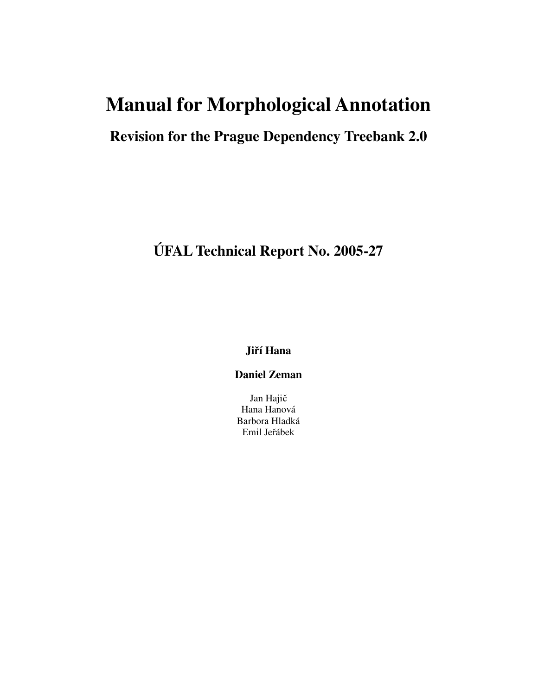# **Manual for Morphological Annotation**

# **Revision for the Prague Dependency Treebank 2.0**

**ÚFAL Technical Report No. 2005-27**

**Jií Hana**

**Daniel Zeman**

Jan Haji Hana Hanová Barbora Hladká Emil Jeřábek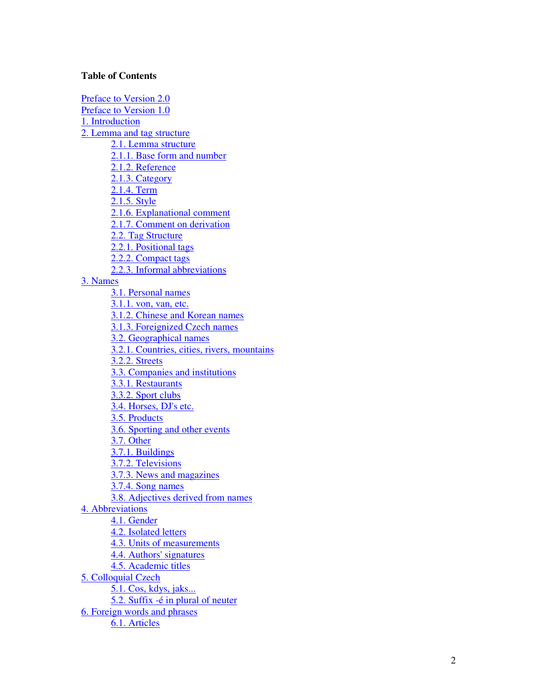#### **Table of Contents**

Preface to Version 2.0 Preface to Version 1.0 1. Introduction 2. Lemma and tag structure 2.1. Lemma structure 2.1.1. Base form and number 2.1.2. Reference 2.1.3. Category 2.1.4. Term 2.1.5. Style 2.1.6. Explanational comment 2.1.7. Comment on derivation 2.2. Tag Structure 2.2.1. Positional tags 2.2.2. Compact tags 2.2.3. Informal abbreviations 3. Names 3.1. Personal names 3.1.1. von, van, etc. 3.1.2. Chinese and Korean names 3.1.3. Foreignized Czech names 3.2. Geographical names 3.2.1. Countries, cities, rivers, mountains 3.2.2. Streets 3.3. Companies and institutions 3.3.1. Restaurants 3.3.2. Sport clubs 3.4. Horses, DJ's etc. 3.5. Products 3.6. Sporting and other events 3.7. Other 3.7.1. Buildings 3.7.2. Televisions 3.7.3. News and magazines 3.7.4. Song names 3.8. Adjectives derived from names 4. Abbreviations 4.1. Gender 4.2. Isolated letters 4.3. Units of measurements 4.4. Authors' signatures 4.5. Academic titles 5. Colloquial Czech <u>5.1. Cos, kdys, jaks...</u> 5.2. Suffix - é in plural of neuter 6. Foreign words and phrases 6.1. Articles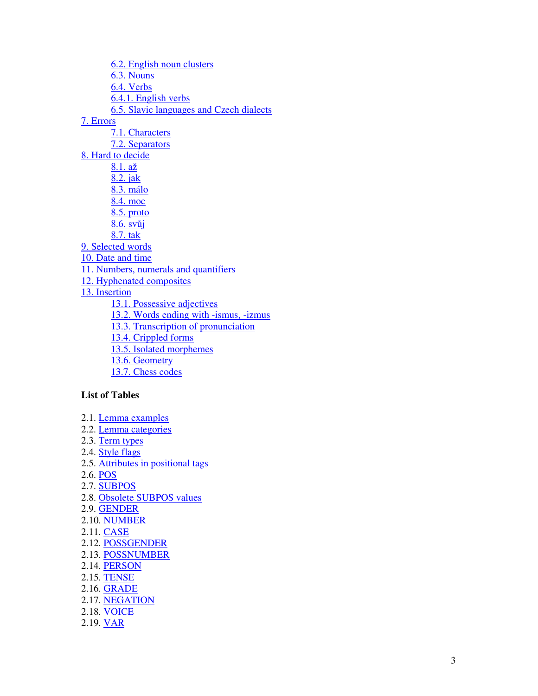6.2. English noun clusters 6.3. Nouns 6.4. Verbs 6.4.1. English verbs 6.5. Slavic languages and Czech dialects <u>7</u><br>T .1. Characters 7.2. Separators 8. Hard to decide <u>8.1. až</u> 8.2. jak 8.3. málo 8.4. moc 8.5. proto 8.6. svůj <u>8.7. tak</u> 9. Selected words 10. Date and time 11. Numbers, numerals and quantifiers 12. Hyphenated composites 13. Insertion 13.1. Possessive adjectives 13.2. Words ending with -ismus, -izmus 13.3. Transcription of pronunciation 13.4. Crippled forms 13.5. Isolated morphemes 13.6. Geometry 13.7. Chess codes

### List of Tables

- 2.1. Lemma examples 2.2. Lemma categories
- 2.3. Term types
- 2.4. Style flags
- 2.5. Attributes in positional tags
- 2.6. POS
- 2.7. <u>SUBPOS</u>
- 2.8. Obsolete SUBPOS values
- 2.9. <u>GENDER</u>
- 2.10. <mark>NUMBER</mark>
- 2.11. <mark>CASE</mark>
- 2.12. <mark>POSSGENDER</mark>
- 2.13. <mark>POSSNUMBER</mark>
- 2.14. <mark>PERSON</mark>
- 2.15. <mark>TENSE</mark>
- 2.16. <u>GRADE</u>
- 2.17. <mark>NEGATION</mark>
- 2.18. <mark>VOICE</mark>
- 2.19. <mark>VAR</mark>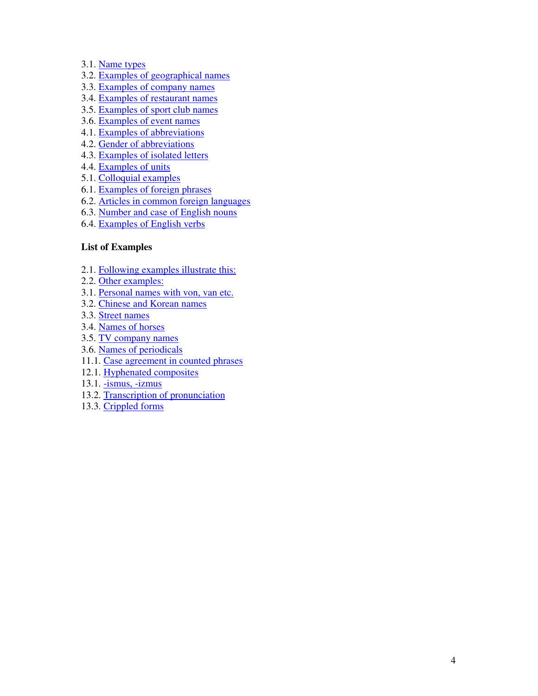- 3.1. Name types
- 3.2. Examples of geographical names
- 3.3. Examples of company names
- 3.4. Examples of restaurant names
- 3.5. Examples of sport club names
- 3.6. Examples of event names
- 4.1. Examples of abbreviations
- 4.2. Gender of abbreviations
- 4.3. Examples of isolated letters
- 4.4. Examples of units
- 5.1. Colloquial examples
- 6.1. Examples of foreign phrases
- 6.2. Articles in common foreign languages
- 6.3. Number and case of English nouns
- 6.4. Examples of English verbs

#### **List of Examples**

- 2.1. Following examples illustrate this:
- 2.2. Other examples:
- 3.1. Personal names with von, van etc.
- 3.2. Chinese and Korean names
- 3.3. Street names
- 3.4. Names of horses
- 3.5. TV company names
- 3.6. Names of periodicals
- 11.1. Case agreement in counted phrases
- 12.1. Hyphenated composites
- 13.1. -ismus, -izmus
- 13.2. Transcription of pronunciation
- 13.3. Crippled forms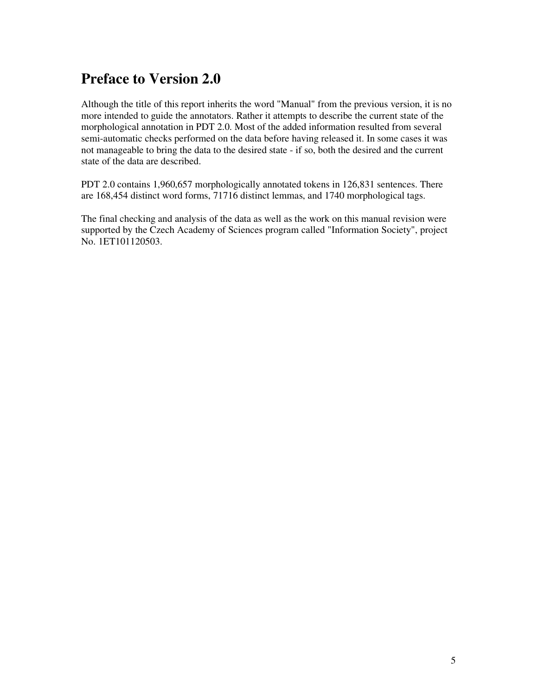# **Preface to Version 2.0**

Although the title of this report inherits the word "Manual" from the previous version, it is no more intended to guide the annotators. Rather it attempts to describe the current state of the morphological annotation in PDT 2.0. Most of the added information resulted from several semi-automatic checks performed on the data before having released it. In some cases it was not manageable to bring the data to the desired state - if so, both the desired and the current state of the data are described.

PDT 2.0 contains 1,960,657 morphologically annotated tokens in 126,831 sentences. There are 168,454 distinct word forms, 71716 distinct lemmas, and 1740 morphological tags.

The final checking and analysis of the data as well as the work on this manual revision were supported by the Czech Academy of Sciences program called "Information Society", project No. 1ET101120503.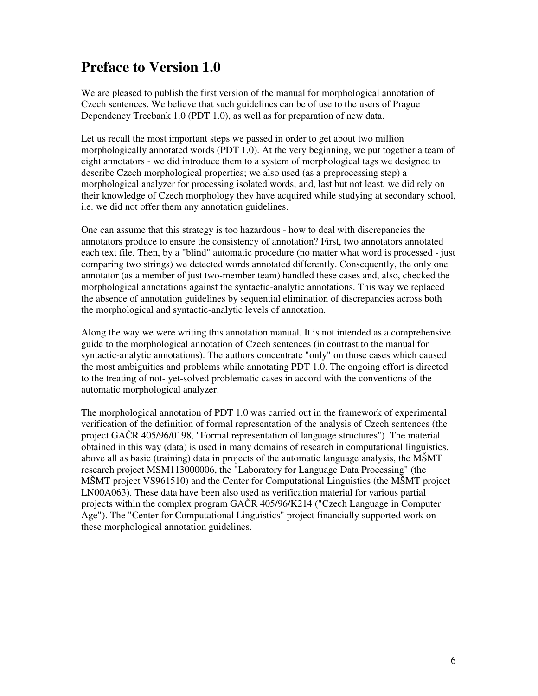# **Preface to Version 1.0**

We are pleased to publish the first version of the manual for morphological annotation of Czech sentences. We believe that such guidelines can be of use to the users of Prague Dependency Treebank 1.0 (PDT 1.0), as well as for preparation of new data.

Let us recall the most important steps we passed in order to get about two million morphologically annotated words (PDT 1.0). At the very beginning, we put together a team of eight annotators - we did introduce them to a system of morphological tags we designed to describe Czech morphological properties; we also used (as a preprocessing step) a morphological analyzer for processing isolated words, and, last but not least, we did rely on their knowledge of Czech morphology they have acquired while studying at secondary school, i.e. we did not offer them any annotation guidelines.

One can assume that this strategy is too hazardous - how to deal with discrepancies the annotators produce to ensure the consistency of annotation? First, two annotators annotated each text file. Then, by a "blind" automatic procedure (no matter what word is processed - just comparing two strings) we detected words annotated differently. Consequently, the only one annotator (as a member of just two-member team) handled these cases and, also, checked the morphological annotations against the syntactic-analytic annotations. This way we replaced the absence of annotation guidelines by sequential elimination of discrepancies across both the morphological and syntactic-analytic levels of annotation.

Along the way we were writing this annotation manual. It is not intended as a comprehensive guide to the morphological annotation of Czech sentences (in contrast to the manual for syntactic-analytic annotations). The authors concentrate "only" on those cases which caused the most ambiguities and problems while annotating PDT 1.0. The ongoing effort is directed to the treating of not- yet-solved problematic cases in accord with the conventions of the automatic morphological analyzer.

The morphological annotation of PDT 1.0 was carried out in the framework of experimental verification of the definition of formal representation of the analysis of Czech sentences (the project GAČR 405/96/0198, "Formal representation of language structures"). The material obtained in this way (data) is used in many domains of research in computational linguistics, above all as basic (training) data in projects of the automatic language analysis, the MŠMT research project MSM113000006, the "Laboratory for Language Data Processing" (the MŠMT project VS961510) and the Center for Computational Linguistics (the MŠMT project LN00A063). These data have been also used as verification material for various partial projects within the complex program  $GACR$  405/96/K214 ("Czech Language in Computer Age"). The "Center for Computational Linguistics" project financially supported work on these morphological annotation guidelines.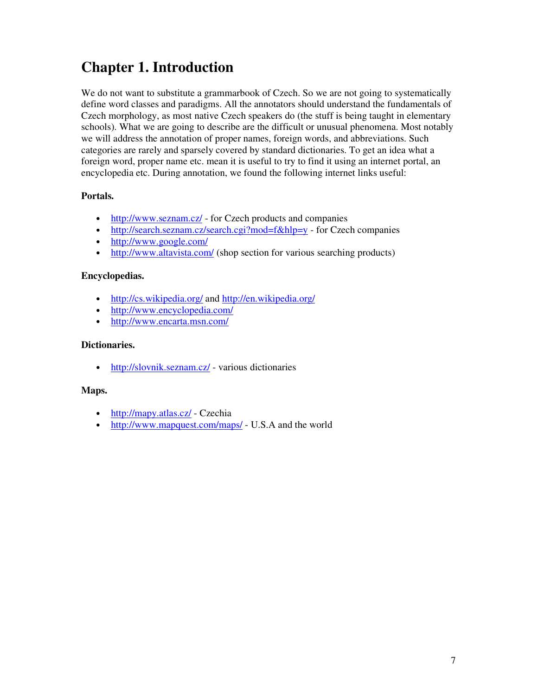# **Chapter 1. Introduction**

We do not want to substitute a grammarbook of Czech. So we are not going to systematically define word classes and paradigms. All the annotators should understand the fundamentals of Czech morphology, as most native Czech speakers do (the stuff is being taught in elementary schools). What we are going to describe are the difficult or unusual phenomena. Most notably we will address the annotation of proper names, foreign words, and abbreviations. Such categories are rarely and sparsely covered by standard dictionaries. To get an idea what a foreign word, proper name etc. mean it is useful to try to find it using an internet portal, an encyclopedia etc. During annotation, we found the following internet links useful:

### **Portals.**

- http://www.seznam.cz/ for Czech products and companies
- http://search.seznam.cz/search.cgi?mod=f&hlp=y for Czech companies
- http://www.google.com/
- http://www.altavista.com/ (shop section for various searching products)

#### **Encyclopedias.**

- http://cs.wikipedia.org/ and http://en.wikipedia.org/
- http://www.encyclopedia.com/
- http://www.encarta.msn.com/

#### **Dictionaries.**

• http://slovnik.seznam.cz/ - various dictionaries

#### **Maps.**

- http://mapy.atlas.cz/ Czechia
- http://www.mapquest.com/maps/ U.S.A and the world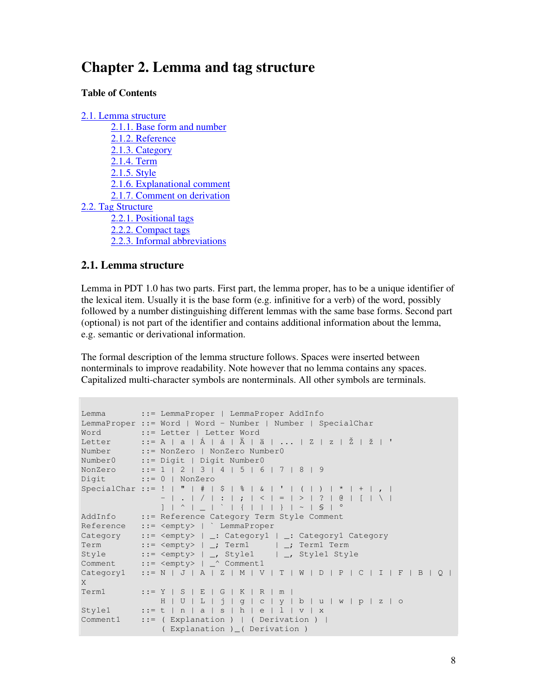# **Chapter 2. Lemma and tag structure**

#### **Table of Contents**

```
2.1. Lemma structure
       2.1.1. Base form and number
       2.1.2. Reference
       2.1.3. Category
       2.1.4. Term
       2.1.5. Style
       2.1.6. Explanational comment
       2.1.7. Comment on derivation
2.2. Tag Structure
       2.2.1. Positional tags
       2.2.2. Compact tags
       2.2.3. Informal abbreviations
```
### **2.1. Lemma structure**

Lemma in PDT 1.0 has two parts. First part, the lemma proper, has to be a unique identifier of the lexical item. Usually it is the base form (e.g. infinitive for a verb) of the word, possibly followed by a number distinguishing different lemmas with the same base forms. Second part (optional) is not part of the identifier and contains additional information about the lemma, e.g. semantic or derivational information.

The formal description of the lemma structure follows. Spaces were inserted between nonterminals to improve readability. Note however that no lemma contains any spaces. Capitalized multi-character symbols are nonterminals. All other symbols are terminals.

```
Lemma ::= LemmaProper | LemmaProper AddInfo
LemmaProper ::= Word | Word - Number | Number | SpecialChar
Word ::= Letter | Letter Word
Letter ::= A | a | Á | á | Ä | ä | ... | Z | Z | Ž | ž | '
Number ::= NonZero | NonZero Number0
Number0 ::= Digit | Digit Number0
NonZero ::= 1 | 2 | 3 | 4 | 5 | 6 | 7 | 8 | 9
Digit ::= 0 | NonZero
SpecialChar ::= ! | " | # | $ | % | & | ' | ( | ) | * | + | , |
              - | . | / | : | ; | < | = | > | ? | @ | [ | \ |
              ] | ^ | _ | ` | { | | | } | ~ | § | °
AddInfo ::= Reference Category Term Style Comment
Reference ::= <empty> | ` LemmaProper
Category ::= <empty> | _: Category1 | _: Category1 Category
Term ::= <empty> | _; Term1 | _; Term1 Term
Style ::= <empty> | _, Style1 | _, Style1 Style
Comment ::= <empty> | _^ Comment1
Category 1 ::= N | J | A | Z | M | V | T | W | D | P | C | I | F | B | Q |
X
\texttt{Term1} ::= Y | S | E | G | K | R | m |
           H | U | L | j | g | c | y | b | u | w | p | z | o
Style1 ::= t | n | a | s | h | e | l | v | x
Comment1 ::= (Explanation ) | (Derivation ) |
               ( Explanation )_( Derivation )
```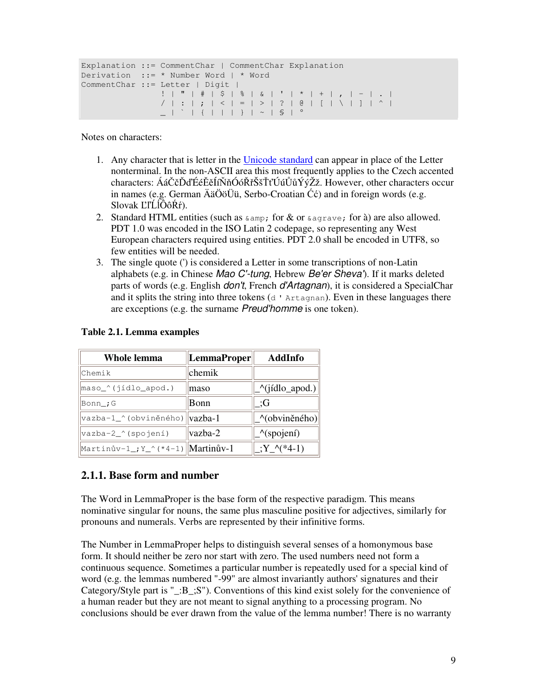```
Explanation ::= CommentChar | CommentChar Explanation
Derivation ::= * Number Word | * Word
CommentChar ::= Letter | Digit |
                  ! | " | # | $ | % | & | ' | * | + | , | - | . |
                   / | : | ; | < | = | > | ? | @ | [ | \ | ] | ^ |<br>_ | ` | { | | | } | ~ | § | °
                         | { | + | + | } | - | S | | | \theta |
```
Notes on characters:

- 1. Any character that is letter in the Unicode standard can appear in place of the Letter nonterminal. In the non-ASCII area this most frequently applies to the Czech accented characters: ÁáČčĎďÉéĚěÍíŇňÓóŘřŠšŤťÚúŮůÝýŽž. However, other characters occur in names (e.g. German  $\ddot{A}$ ä $\ddot{O}$ ö $\ddot{U}$ ü, Serbo-Croatian  $\dot{C}$ ć) and in foreign words (e.g. Slovak ĽľĹĺÔôŔŕ).
- 2. Standard HTML entities (such as  $\kappa$  amp; for  $\&$  or  $\kappa$  agrave; for à) are also allowed. PDT 1.0 was encoded in the ISO Latin 2 codepage, so representing any West European characters required using entities. PDT 2.0 shall be encoded in UTF8, so few entities will be needed.
- 3. The single quote (') is considered a Letter in some transcriptions of non-Latin alphabets (e.g. in Chinese *Mao C'-tung*, Hebrew *Be'er Sheva'*). If it marks deleted parts of words (e.g. English *don't*, French *d'Artagnan*), it is considered a SpecialChar and it splits the string into three tokens  $(d'$  Artagnan). Even in these languages there are exceptions (e.g. the surname *Preud'homme* is one token).

| Whole lemma                                                    | LemmaProper      | <b>AddInfo</b>                |
|----------------------------------------------------------------|------------------|-------------------------------|
| Chemik                                                         | chemik           |                               |
| maso_^(jídlo_apod.)                                            | maso             | _^(jídlo_apod.)               |
| Bonn_; G                                                       | Bonn             | :G                            |
| vazba-1_^(obviněného)                                          | $\forall$ azba-1 | _^(obviněného)                |
| vazba-2_^(spojení)                                             | vazba-2          | $\sqrt{\text{spojen}(\cdot)}$ |
| $\frac{1}{2}$ Martinův-1_; Y_^ (*4-1) $\frac{1}{2}$ Martinův-1 |                  | $Y^*(*4-1)$                   |

#### **Table 2.1. Lemma examples**

#### **2.1.1. Base form and number**

The Word in LemmaProper is the base form of the respective paradigm. This means nominative singular for nouns, the same plus masculine positive for adjectives, similarly for pronouns and numerals. Verbs are represented by their infinitive forms.

The Number in LemmaProper helps to distinguish several senses of a homonymous base form. It should neither be zero nor start with zero. The used numbers need not form a continuous sequence. Sometimes a particular number is repeatedly used for a special kind of word (e.g. the lemmas numbered "-99" are almost invariantly authors' signatures and their Category/Style part is "\_:B\_;S"). Conventions of this kind exist solely for the convenience of a human reader but they are not meant to signal anything to a processing program. No conclusions should be ever drawn from the value of the lemma number! There is no warranty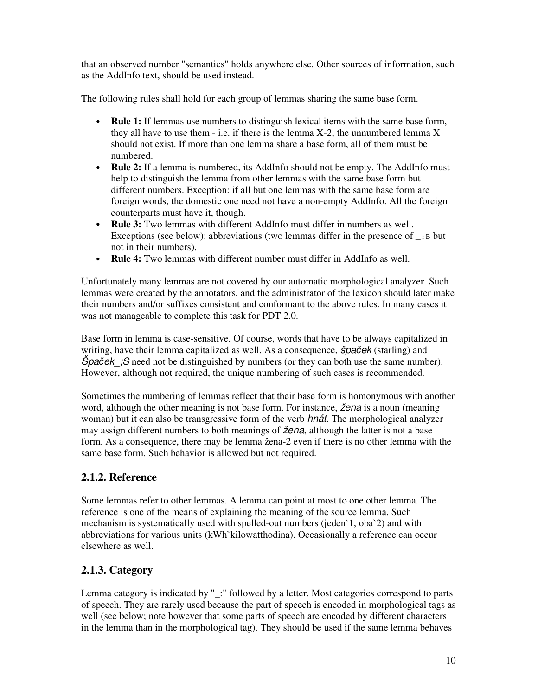that an observed number "semantics" holds anywhere else. Other sources of information, such as the AddInfo text, should be used instead.

The following rules shall hold for each group of lemmas sharing the same base form.

- **Rule 1:** If lemmas use numbers to distinguish lexical items with the same base form, they all have to use them  $-$  i.e. if there is the lemma  $X-2$ , the unnumbered lemma  $X$ should not exist. If more than one lemma share a base form, all of them must be numbered.
- **Rule 2:** If a lemma is numbered, its AddInfo should not be empty. The AddInfo must help to distinguish the lemma from other lemmas with the same base form but different numbers. Exception: if all but one lemmas with the same base form are foreign words, the domestic one need not have a non-empty AddInfo. All the foreign counterparts must have it, though.
- **Rule 3:** Two lemmas with different AddInfo must differ in numbers as well. Exceptions (see below): abbreviations (two lemmas differ in the presence of  $\Box$ : B but not in their numbers).
- **Rule 4:** Two lemmas with different number must differ in AddInfo as well.

Unfortunately many lemmas are not covered by our automatic morphological analyzer. Such lemmas were created by the annotators, and the administrator of the lexicon should later make their numbers and/or suffixes consistent and conformant to the above rules. In many cases it was not manageable to complete this task for PDT 2.0.

Base form in lemma is case-sensitive. Of course, words that have to be always capitalized in writing, have their lemma capitalized as well. As a consequence, *špaek* (starling) and *Špaček*; S need not be distinguished by numbers (or they can both use the same number). However, although not required, the unique numbering of such cases is recommended.

Sometimes the numbering of lemmas reflect that their base form is homonymous with another word, although the other meaning is not base form. For instance, *žena* is a noun (meaning woman) but it can also be transgressive form of the verb *hnát*. The morphological analyzer may assign different numbers to both meanings of *žena*, although the latter is not a base form. As a consequence, there may be lemma žena-2 even if there is no other lemma with the same base form. Such behavior is allowed but not required.

# **2.1.2. Reference**

Some lemmas refer to other lemmas. A lemma can point at most to one other lemma. The reference is one of the means of explaining the meaning of the source lemma. Such mechanism is systematically used with spelled-out numbers (jeden`1, oba`2) and with abbreviations for various units (kWh`kilowatthodina). Occasionally a reference can occur elsewhere as well.

# **2.1.3. Category**

Lemma category is indicated by "\_:" followed by a letter. Most categories correspond to parts of speech. They are rarely used because the part of speech is encoded in morphological tags as well (see below; note however that some parts of speech are encoded by different characters in the lemma than in the morphological tag). They should be used if the same lemma behaves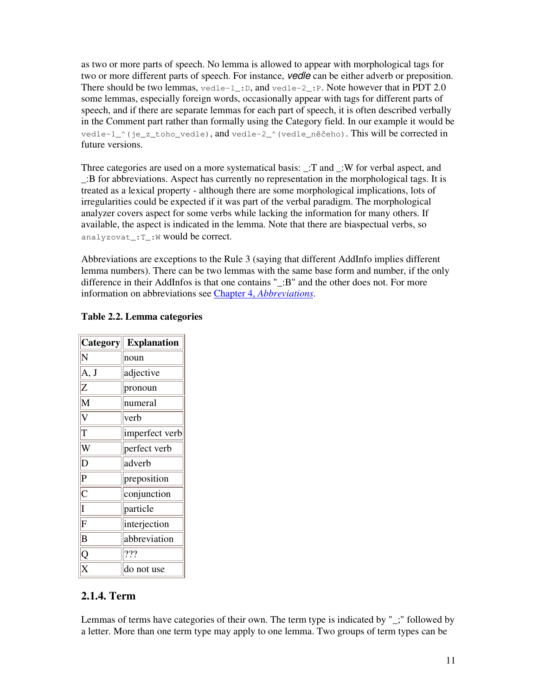as two or more parts of speech. No lemma is allowed to appear with morphological tags for two or more different parts of speech. For instance, *vedle* can be either adverb or preposition. There should be two lemmas,  $\text{velel-1}$ : D, and  $\text{velel-2}$ : P. Note however that in PDT 2.0 some lemmas, especially foreign words, occasionally appear with tags for different parts of speech, and if there are separate lemmas for each part of speech, it is often described verbally in the Comment part rather than formally using the Category field. In our example it would be vedle-1  $\land$  (je z toho\_vedle), and vedle-2\_ $\land$  (vedle\_nečeho). This will be corrected in future versions.

Three categories are used on a more systematical basis: \_:T and \_:W for verbal aspect, and \_:B for abbreviations. Aspect has currently no representation in the morphological tags. It is treated as a lexical property - although there are some morphological implications, lots of irregularities could be expected if it was part of the verbal paradigm. The morphological analyzer covers aspect for some verbs while lacking the information for many others. If available, the aspect is indicated in the lemma. Note that there are biaspectual verbs, so analyzovat\_:T\_:W would be correct.

Abbreviations are exceptions to the Rule 3 (saying that different AddInfo implies different lemma numbers). There can be two lemmas with the same base form and number, if the only difference in their AddInfos is that one contains "\_:B" and the other does not. For more information on abbreviations see Chapter 4, *Abbreviations*.

| Category       | <b>Explanation</b> |
|----------------|--------------------|
| N              | noun               |
| A, J           | adjective          |
| Z              | pronoun            |
| M              | numeral            |
| V              | verb               |
| T              | imperfect verb     |
| W              | perfect verb       |
| D              | adverb             |
| $\overline{P}$ | preposition        |
| $\overline{C}$ | conjunction        |
| $\overline{I}$ | particle           |
| F              | interjection       |
| B              | abbreviation       |
| Q              | ???                |
| X              | do not use         |

#### **Table 2.2. Lemma categories**

r.

## **2.1.4. Term**

Lemmas of terms have categories of their own. The term type is indicated by "; " followed by a letter. More than one term type may apply to one lemma. Two groups of term types can be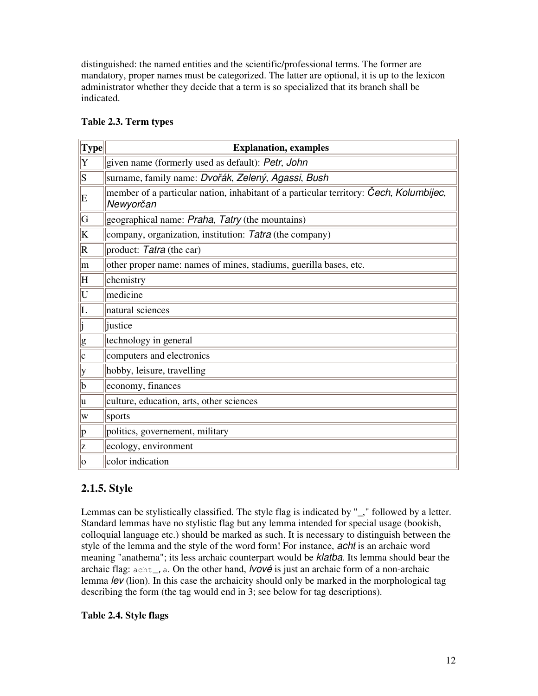distinguished: the named entities and the scientific/professional terms. The former are mandatory, proper names must be categorized. The latter are optional, it is up to the lexicon administrator whether they decide that a term is so specialized that its branch shall be indicated.

| $ \mathbf{Type} $       | <b>Explanation, examples</b>                                                                        |
|-------------------------|-----------------------------------------------------------------------------------------------------|
| Y                       | given name (formerly used as default): Petr, John                                                   |
| S                       | surname, family name: Dvořák, Zelený, Agassi, Bush                                                  |
| E                       | member of a particular nation, inhabitant of a particular territory: Cech, Kolumbijec,<br>Newyorčan |
| G                       | geographical name: <i>Praha</i> , Tatry (the mountains)                                             |
| K                       | company, organization, institution: Tatra (the company)                                             |
| $\vert R \vert$         | product: Tatra (the car)                                                                            |
| m                       | other proper name: names of mines, stadiums, guerilla bases, etc.                                   |
| H                       | chemistry                                                                                           |
| U                       | medicine                                                                                            |
| $ \Gamma$               | natural sciences                                                                                    |
| $\overline{\mathsf{j}}$ | justice                                                                                             |
| $\underline{g}$         | technology in general                                                                               |
| $ {\rm c}$              | computers and electronics                                                                           |
| у                       | hobby, leisure, travelling                                                                          |
| b                       | economy, finances                                                                                   |
| lu                      | culture, education, arts, other sciences                                                            |
| W                       | sports                                                                                              |
| $ {\rm p} $             | politics, governement, military                                                                     |
| z                       | ecology, environment                                                                                |
| 10                      | color indication                                                                                    |

### **Table 2.3. Term types**

# **2.1.5. Style**

Lemmas can be stylistically classified. The style flag is indicated by "\_," followed by a letter. Standard lemmas have no stylistic flag but any lemma intended for special usage (bookish, colloquial language etc.) should be marked as such. It is necessary to distinguish between the style of the lemma and the style of the word form! For instance, *acht* is an archaic word meaning "anathema"; its less archaic counterpart would be *klatba*. Its lemma should bear the archaic flag:  $a$ cht<sub>r</sub>, a. On the other hand, *lvové* is just an archaic form of a non-archaic lemma *lev* (lion). In this case the archaicity should only be marked in the morphological tag describing the form (the tag would end in 3; see below for tag descriptions).

### **Table 2.4. Style flags**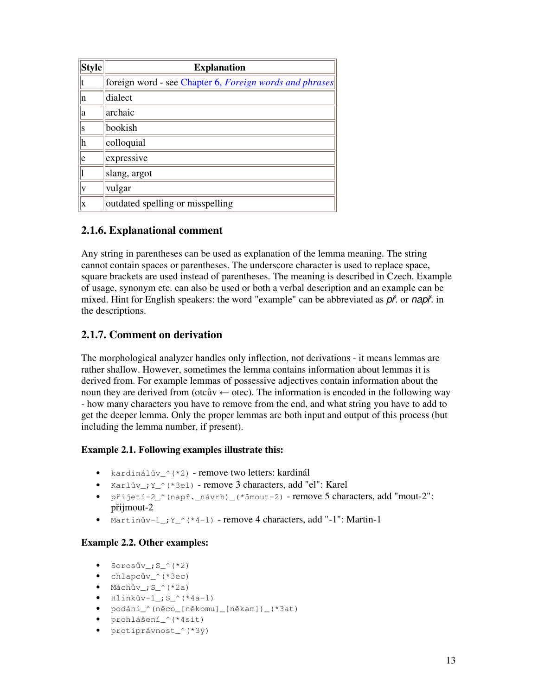| Style | <b>Explanation</b>                                             |
|-------|----------------------------------------------------------------|
|       | foreign word - see <i>Chapter 6, Foreign words and phrases</i> |
| n     | dialect                                                        |
| a     | archaic                                                        |
| S     | bookish                                                        |
| h     | colloquial                                                     |
| le    | expressive                                                     |
|       | slang, argot                                                   |
|       | vulgar                                                         |
| X     | outdated spelling or misspelling                               |

### **2.1.6. Explanational comment**

Any string in parentheses can be used as explanation of the lemma meaning. The string cannot contain spaces or parentheses. The underscore character is used to replace space, square brackets are used instead of parentheses. The meaning is described in Czech. Example of usage, synonym etc. can also be used or both a verbal description and an example can be mixed. Hint for English speakers: the word "example" can be abbreviated as  $p\zeta$  or napr<sup>\*</sup>. in the descriptions.

### **2.1.7. Comment on derivation**

The morphological analyzer handles only inflection, not derivations - it means lemmas are rather shallow. However, sometimes the lemma contains information about lemmas it is derived from. For example lemmas of possessive adjectives contain information about the noun they are derived from (otcův  $\leftarrow$  otec). The information is encoded in the following way - how many characters you have to remove from the end, and what string you have to add to get the deeper lemma. Only the proper lemmas are both input and output of this process (but including the lemma number, if present).

### **Example 2.1. Following examples illustrate this:**

- kardinálův\_^(\*2) remove two letters: kardinál
- Karlův\_; Y\_^(\*3el) remove 3 characters, add "el": Karel
- přijetí-2 $\hat{i}$  (např. \_návrh) (\* $5$ mout-2) remove 5 characters, add "mout-2": přijmout-2
- Martinův- $1$ ;  $Y_{-}$  (\*4-1) remove 4 characters, add "-1": Martin-1

### **Example 2.2. Other examples:**

- $\bullet$  Sorosův\_; S\_^(\*2)
- chlapcův\_^(\*3ec)
- $\bullet$  Máchův\_; S\_^(\*2a)
- $\bullet$  Hlinkův-1\_; S\_^(\*4a-1)
- podání\_^(něco\_[někomu]\_[někam])\_(\*3at)
- prohlášení\_^(\*4sit)
- protiprávnost ^(\*3ý)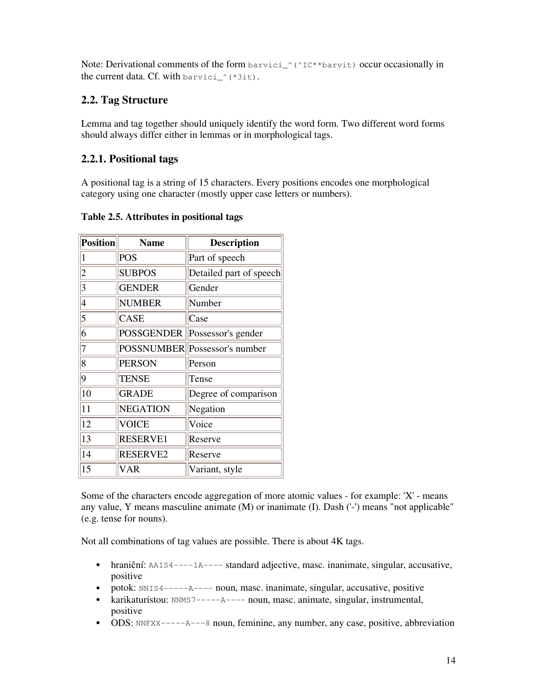Note: Derivational comments of the form  $bar\_`$ (^IC\*\*barvit) occur occasionally in the current data. Cf. with  $bar{v}$ *ici*\_ $\hat{i}$ <sup>{\*3it}</sup>.

# **2.2. Tag Structure**

Lemma and tag together should uniquely identify the word form. Two different word forms should always differ either in lemmas or in morphological tags.

# **2.2.1. Positional tags**

A positional tag is a string of 15 characters. Every positions encodes one morphological category using one character (mostly upper case letters or numbers).

| <b>Position</b>         | <b>Name</b>       | <b>Description</b>      |
|-------------------------|-------------------|-------------------------|
| 1                       | <b>POS</b>        | Part of speech          |
| $\overline{\mathbf{c}}$ | <b>SUBPOS</b>     | Detailed part of speech |
| 3                       | <b>GENDER</b>     | Gender                  |
| $\vert 4$               | <b>NUMBER</b>     | Number                  |
| $\overline{5}$          | <b>CASE</b>       | Case                    |
| 6                       | <b>POSSGENDER</b> | Possessor's gender      |
| $\overline{7}$          | <b>POSSNUMBER</b> | Possessor's number      |
| 8                       | <b>PERSON</b>     | Person                  |
| $\overline{9}$          | <b>TENSE</b>      | Tense                   |
| 10                      | <b>GRADE</b>      | Degree of comparison    |
| 11                      | <b>NEGATION</b>   | Negation                |
| 12                      | <b>VOICE</b>      | Voice                   |
| 13                      | <b>RESERVE1</b>   | Reserve                 |
| 14                      | <b>RESERVE2</b>   | Reserve                 |
| 15                      | <b>VAR</b>        | Variant, style          |

### **Table 2.5. Attributes in positional tags**

Some of the characters encode aggregation of more atomic values - for example: 'X' - means any value, Y means masculine animate (M) or inanimate (I). Dash ('-') means "not applicable" (e.g. tense for nouns).

Not all combinations of tag values are possible. There is about 4K tags.

- hraniční:  $AATS4---1A---$  standard adjective, masc. inanimate, singular, accusative, positive
- potok: NNIS4------A---- noun, masc. inanimate, singular, accusative, positive
- karikaturistou: NNMS7------A---- noun, masc. animate, singular, instrumental, positive
- ODS: NNFXX------A---8 noun, feminine, any number, any case, positive, abbreviation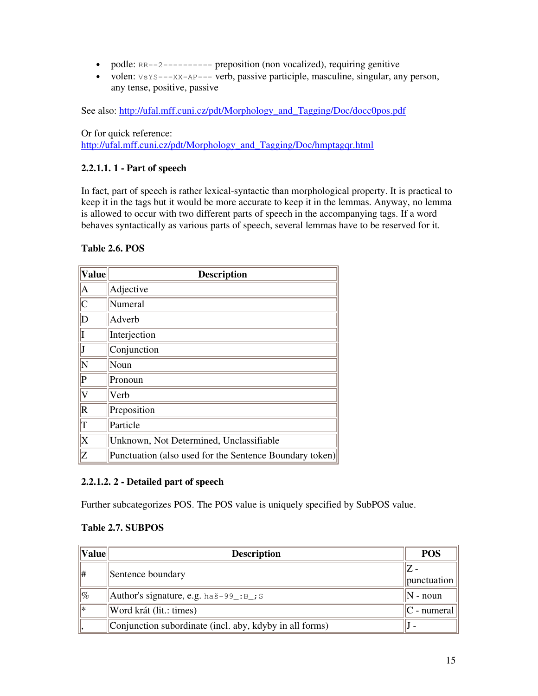- podle: RR--2--------- preposition (non vocalized), requiring genitive
- volen:  $v_{sYS---XX-AP---}$  verb, passive participle, masculine, singular, any person, any tense, positive, passive

See also: http://ufal.mff.cuni.cz/pdt/Morphology\_and\_Tagging/Doc/docc0pos.pdf

Or for quick reference: http://ufal.mff.cuni.cz/pdt/Morphology\_and\_Tagging/Doc/hmptagqr.html

#### **2.2.1.1. 1 - Part of speech**

In fact, part of speech is rather lexical-syntactic than morphological property. It is practical to keep it in the tags but it would be more accurate to keep it in the lemmas. Anyway, no lemma is allowed to occur with two different parts of speech in the accompanying tags. If a word behaves syntactically as various parts of speech, several lemmas have to be reserved for it.

#### **Table 2.6. POS**

| <b>Value</b>              | <b>Description</b>                                      |
|---------------------------|---------------------------------------------------------|
| A                         | Adjective                                               |
| $\overline{\mathsf{C}}$   | Numeral                                                 |
| $\mathbb D$               | Adverb                                                  |
|                           | Interjection                                            |
|                           | Conjunction                                             |
| $ {\rm N}$                | Noun                                                    |
| $\vert$ P                 | Pronoun                                                 |
| $\overline{\mathsf{V}}$   | Verb                                                    |
| $\overline{\mathrm{R}}$   | Preposition                                             |
| T                         | Particle                                                |
| $\boldsymbol{\mathrm{X}}$ | Unknown, Not Determined, Unclassifiable                 |
| Z                         | Punctuation (also used for the Sentence Boundary token) |

#### **2.2.1.2. 2 - Detailed part of speech**

Further subcategorizes POS. The POS value is uniquely specified by SubPOS value.

#### **Table 2.7. SUBPOS**

| $\ $ Value $\ $ | <b>Description</b>                                      | <b>POS</b>          |
|-----------------|---------------------------------------------------------|---------------------|
| ∥#              | Sentence boundary                                       |                     |
|                 |                                                         | punctuation         |
| $ {\%}$         | $\vert$ Author's signature, e.g. haš-99_:B_; S          | $ N - \text{noun} $ |
| I∗              | Word krát (lit.: times)                                 | $ C -$ numeral      |
|                 | Conjunction subordinate (incl. aby, kdyby in all forms) |                     |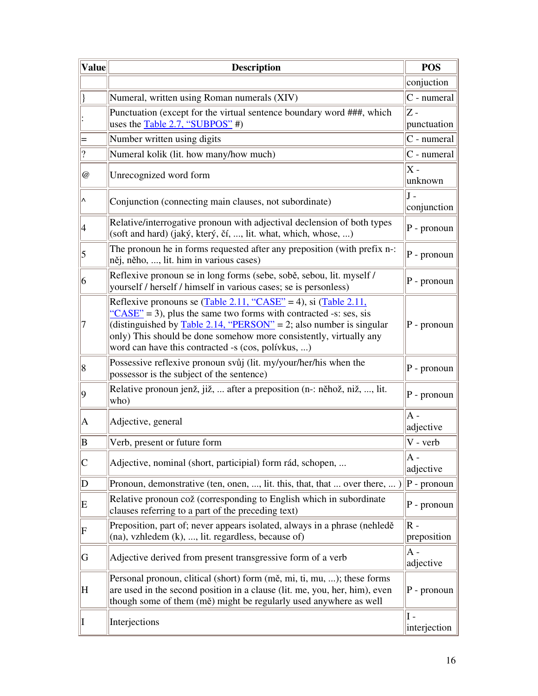| <b>Value</b>              | <b>Description</b>                                                                                                                                                                                                                                                                                                                                                                | <b>POS</b>                    |
|---------------------------|-----------------------------------------------------------------------------------------------------------------------------------------------------------------------------------------------------------------------------------------------------------------------------------------------------------------------------------------------------------------------------------|-------------------------------|
|                           |                                                                                                                                                                                                                                                                                                                                                                                   | conjuction                    |
|                           | Numeral, written using Roman numerals (XIV)                                                                                                                                                                                                                                                                                                                                       | $C$ - numeral                 |
|                           | Punctuation (except for the virtual sentence boundary word ###, which<br>uses the <b>Table 2.7, "SUBPOS"</b> #)                                                                                                                                                                                                                                                                   | IZ -<br>punctuation           |
|                           | Number written using digits                                                                                                                                                                                                                                                                                                                                                       | $C$ - numeral                 |
| $\overline{\mathcal{L}}$  | Numeral kolik (lit. how many/how much)                                                                                                                                                                                                                                                                                                                                            | $C$ - numeral                 |
| $^\text{\textregistered}$ | Unrecognized word form                                                                                                                                                                                                                                                                                                                                                            | X -<br>unknown                |
| $\overline{\wedge}$       | Conjunction (connecting main clauses, not subordinate)                                                                                                                                                                                                                                                                                                                            | lJ -<br>conjunction           |
| 4                         | Relative/interrogative pronoun with adjectival declension of both types<br>(soft and hard) (jaký, který, čí, , lit. what, which, whose, )                                                                                                                                                                                                                                         | $P - pronoun$                 |
| 5                         | The pronoun he in forms requested after any preposition (with prefix n-:<br>něj, něho, , lit. him in various cases)                                                                                                                                                                                                                                                               | $P - pronoun$                 |
| 6                         | Reflexive pronoun se in long forms (sebe, sobě, sebou, lit. myself /<br>yourself / herself / himself in various cases; se is personless)                                                                                                                                                                                                                                          | P - pronoun                   |
| 7                         | Reflexive pronouns se $(Table 2.11, "CASE" = 4)$ , si $(Table 2.11,$<br>$\frac{1660 \text{C} \cdot \text{C}}{2}$ = 3), plus the same two forms with contracted -s: ses, sis<br>(distinguished by $Table 2.14$ , "PERSON" = 2; also number is singular<br>only) This should be done somehow more consistently, virtually any<br>word can have this contracted -s (cos, polívkus, ) | P - pronoun                   |
| 8                         | Possessive reflexive pronoun svůj (lit. my/your/her/his when the<br>possessor is the subject of the sentence)                                                                                                                                                                                                                                                                     | P - pronoun                   |
| $ 9\rangle$               | Relative pronoun jenž, již,  after a preposition (n-: něhož, niž, , lit.<br>who)                                                                                                                                                                                                                                                                                                  | P - pronoun                   |
| A                         | Adjective, general                                                                                                                                                                                                                                                                                                                                                                | $\overline{A}$ -<br>adjective |
| B                         | Verb, present or future form                                                                                                                                                                                                                                                                                                                                                      | V - verb                      |
| C                         | Adjective, nominal (short, participial) form rád, schopen,                                                                                                                                                                                                                                                                                                                        | A -<br>adjective              |
| D                         | Pronoun, demonstrative (ten, onen, , lit. this, that, that  over there, )                                                                                                                                                                                                                                                                                                         | $P - pronoun$                 |
| E                         | Relative pronoun což (corresponding to English which in subordinate<br>clauses referring to a part of the preceding text)                                                                                                                                                                                                                                                         | $P - pronoun$                 |
| F                         | Preposition, part of; never appears isolated, always in a phrase (nehledě<br>$(\text{na})$ , vzhledem $(k)$ , , lit. regardless, because of)                                                                                                                                                                                                                                      | $R -$<br>preposition          |
| G                         | Adjective derived from present transgressive form of a verb                                                                                                                                                                                                                                                                                                                       | A -<br>adjective              |
| H                         | Personal pronoun, clitical (short) form (mě, mi, ti, mu, ); these forms<br>are used in the second position in a clause (lit. me, you, her, him), even<br>though some of them (mě) might be regularly used anywhere as well                                                                                                                                                        | P - pronoun                   |
| II                        | Interjections                                                                                                                                                                                                                                                                                                                                                                     | I -<br>interjection           |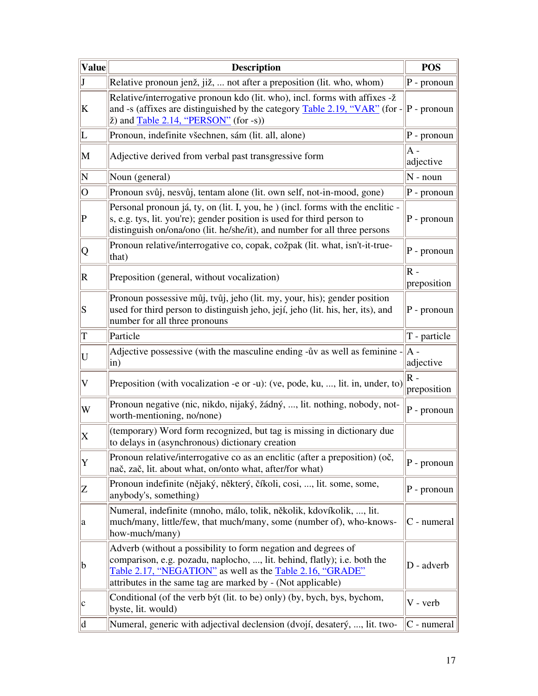| $ \mathbf{Value} $                                                                                                                                                                                                                                                                                                                                                                                                                                                                                           | <b>Description</b>                                                                                                                                                                                                                                                    |                                     |
|--------------------------------------------------------------------------------------------------------------------------------------------------------------------------------------------------------------------------------------------------------------------------------------------------------------------------------------------------------------------------------------------------------------------------------------------------------------------------------------------------------------|-----------------------------------------------------------------------------------------------------------------------------------------------------------------------------------------------------------------------------------------------------------------------|-------------------------------------|
| $\mathbf{J}$                                                                                                                                                                                                                                                                                                                                                                                                                                                                                                 | Relative pronoun jenž, již,  not after a preposition (lit. who, whom)                                                                                                                                                                                                 | $P - pronoun$                       |
| K                                                                                                                                                                                                                                                                                                                                                                                                                                                                                                            | Relative/interrogative pronoun kdo (lit. who), incl. forms with affixes -ž<br>and -s (affixes are distinguished by the category Table 2.19, "VAR" (for -<br>$\check{z}$ ) and $\overline{\text{Table 2.14, "PERSON"}}$ (for -s))                                      | $\left\vert P\right\vert -$ pronoun |
| L                                                                                                                                                                                                                                                                                                                                                                                                                                                                                                            | Pronoun, indefinite všechnen, sám (lit. all, alone)                                                                                                                                                                                                                   | $P - pronoun$                       |
| M                                                                                                                                                                                                                                                                                                                                                                                                                                                                                                            | Adjective derived from verbal past transgressive form                                                                                                                                                                                                                 | A -<br>adjective                    |
| N                                                                                                                                                                                                                                                                                                                                                                                                                                                                                                            | Noun (general)                                                                                                                                                                                                                                                        | $\vert N$ - noun                    |
| O                                                                                                                                                                                                                                                                                                                                                                                                                                                                                                            | Pronoun svůj, nesvůj, tentam alone (lit. own self, not-in-mood, gone)                                                                                                                                                                                                 | $P - pronoun$                       |
| $ {\rm P} $                                                                                                                                                                                                                                                                                                                                                                                                                                                                                                  | Personal pronoun já, ty, on (lit. I, you, he) (incl. forms with the enclitic -<br>s, e.g. tys, lit. you're); gender position is used for third person to<br>distinguish on/ona/ono (lit. he/she/it), and number for all three persons                                 | $P$ - pronoun                       |
| Q                                                                                                                                                                                                                                                                                                                                                                                                                                                                                                            | Pronoun relative/interrogative co, copak, cožpak (lit. what, isn't-it-true-<br>that)                                                                                                                                                                                  | $P - pronoun$                       |
| R                                                                                                                                                                                                                                                                                                                                                                                                                                                                                                            | Preposition (general, without vocalization)                                                                                                                                                                                                                           | $ R -$<br>preposition               |
| S                                                                                                                                                                                                                                                                                                                                                                                                                                                                                                            | Pronoun possessive můj, tvůj, jeho (lit. my, your, his); gender position<br>used for third person to distinguish jeho, její, jeho (lit. his, her, its), and<br>number for all three pronouns                                                                          | $P$ - pronoun                       |
| $ \mathrm{T}%   \leq C\left( \left[ T_{1}\right] ,T_{2}\right) \text{ }\left( \left[ T_{2}\right] ,T_{1}\right) \text{ }\left( \left[ T_{3}\right] ,T_{2}\right) \text{ }\left( \left[ T_{4}\right] ,T_{2}\right) \text{ }\left( \left[ T_{4}\right] ,T_{2}\right) \text{ }\left( \left[ T_{4}\right] ,T_{2}\right) \text{ }\left( \left[ T_{4}\right] ,T_{2}\right) \text{ }\left( \left[ T_{4}\right] ,T_{2}\right) \text{ }\left( \left[ T_{4}\right] ,T_{2}\right) \text{ }\left( \left[ T_{4}\right] ,$ | Particle                                                                                                                                                                                                                                                              | T - particle                        |
| U                                                                                                                                                                                                                                                                                                                                                                                                                                                                                                            | Adjective possessive (with the masculine ending - uv as well as feminine -<br>$\sin$                                                                                                                                                                                  | A -<br>adjective                    |
| $\vert \mathrm{V} \vert$                                                                                                                                                                                                                                                                                                                                                                                                                                                                                     | Preposition (with vocalization -e or -u): (ve, pode, ku, , lit. in, under, to)                                                                                                                                                                                        | $\mathsf R$ -<br>preposition        |
| W                                                                                                                                                                                                                                                                                                                                                                                                                                                                                                            | Pronoun negative (nic, nikdo, nijaký, žádný, , lit. nothing, nobody, not-<br>worth-mentioning, no/none)                                                                                                                                                               | $P - pronoun$                       |
| $\boldsymbol{\mathrm{X}}$                                                                                                                                                                                                                                                                                                                                                                                                                                                                                    | (temporary) Word form recognized, but tag is missing in dictionary due<br>to delays in (asynchronous) dictionary creation                                                                                                                                             |                                     |
| $ {\rm Y} $                                                                                                                                                                                                                                                                                                                                                                                                                                                                                                  | Pronoun relative/interrogative co as an enclitic (after a preposition) (oč,<br>nač, zač, lit. about what, on/onto what, after/for what)                                                                                                                               | $P - pronoun$                       |
| Z                                                                                                                                                                                                                                                                                                                                                                                                                                                                                                            | Pronoun indefinite (nějaký, některý, číkoli, cosi, , lit. some, some,<br>anybody's, something)                                                                                                                                                                        | $P$ - pronoun                       |
| a                                                                                                                                                                                                                                                                                                                                                                                                                                                                                                            | Numeral, indefinite (mnoho, málo, tolik, několik, kdovíkolik, , lit.<br>much/many, little/few, that much/many, some (number of), who-knows-<br>how-much/many)                                                                                                         | C - numeral                         |
| $ {\rm b} $                                                                                                                                                                                                                                                                                                                                                                                                                                                                                                  | Adverb (without a possibility to form negation and degrees of<br>comparison, e.g. pozadu, naplocho, , lit. behind, flatly); i.e. both the<br>Table 2.17, "NEGATION" as well as the Table 2.16, "GRADE"<br>attributes in the same tag are marked by - (Not applicable) | D - adverb                          |
| $ {\rm c}$                                                                                                                                                                                                                                                                                                                                                                                                                                                                                                   | Conditional (of the verb byt (lit. to be) only) (by, bych, bys, bychom,<br>byste, lit. would)                                                                                                                                                                         | V - verb                            |
| d                                                                                                                                                                                                                                                                                                                                                                                                                                                                                                            | Numeral, generic with adjectival declension (dvojí, desaterý, , lit. two-                                                                                                                                                                                             | $ C$ - numeral                      |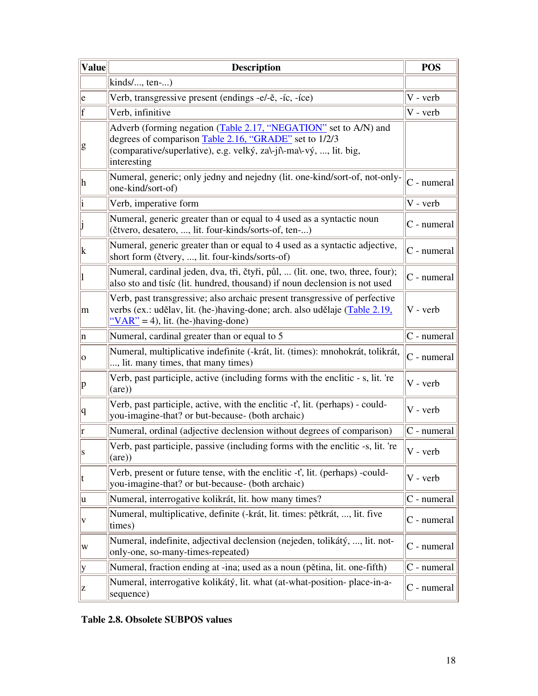| <b>Value</b> | <b>Description</b>                                                                                                                                                                                              | <b>POS</b>     |
|--------------|-----------------------------------------------------------------------------------------------------------------------------------------------------------------------------------------------------------------|----------------|
|              | $\text{kinds}/\ldots$ , ten-)                                                                                                                                                                                   |                |
| e            | Verb, transgressive present (endings -e/-ě, -íc, -íce)                                                                                                                                                          | V - verb       |
| f            | Verb, infinitive                                                                                                                                                                                                | V - verb       |
| g            | Adverb (forming negation (Table 2.17, "NEGATION" set to A/N) and<br>degrees of comparison Table 2.16, "GRADE" set to 1/2/3<br>(comparative/superlative), e.g. velký, za\-ji\-ma\-vý, , lit. big,<br>interesting |                |
| h            | Numeral, generic; only jedny and nejedny (lit. one-kind/sort-of, not-only-<br>one-kind/sort-of)                                                                                                                 | $C$ - numeral  |
|              | Verb, imperative form                                                                                                                                                                                           | V - verb       |
|              | Numeral, generic greater than or equal to 4 used as a syntactic noun<br>(čtvero, desatero, , lit. four-kinds/sorts-of, ten-)                                                                                    | $ C$ - numeral |
| $\mathbf k$  | Numeral, generic greater than or equal to 4 used as a syntactic adjective,<br>short form (čtvery, , lit. four-kinds/sorts-of)                                                                                   | $ C$ - numeral |
|              | Numeral, cardinal jeden, dva, tři, čtyři, půl,  (lit. one, two, three, four);<br>also sto and tisíc (lit. hundred, thousand) if noun declension is not used                                                     | C - numeral    |
| m            | Verb, past transgressive; also archaic present transgressive of perfective<br>verbs (ex.: udělav, lit. (he-)having-done; arch. also udělaje (Table 2.19,<br>" $VAR$ " = 4), lit. (he-)having-done)              | V - verb       |
| n            | Numeral, cardinal greater than or equal to 5                                                                                                                                                                    | C - numeral    |
| 0            | Numeral, multiplicative indefinite (-krát, lit. (times): mnohokrát, tolikrát,<br>, lit. many times, that many times)                                                                                            | C - numeral    |
| $ {\bf p} $  | Verb, past participle, active (including forms with the enclitic - s, lit. 're<br>(are)                                                                                                                         | V - verb       |
| q            | Verb, past participle, active, with the enclitic $-t'$ , lit. (perhaps) - could-<br>you-imagine-that? or but-because- (both archaic)                                                                            | V - verb       |
| ľ            | Numeral, ordinal (adjective declension without degrees of comparison)                                                                                                                                           | $ C$ - numeral |
|              | Verb, past participle, passive (including forms with the enclitic -s, lit. 're<br>(are)                                                                                                                         | V - verb       |
| t            | Verb, present or future tense, with the enclitic -t', lit. (perhaps) -could-<br>you-imagine-that? or but-because- (both archaic)                                                                                | V - verb       |
| u            | Numeral, interrogative kolikrát, lit. how many times?                                                                                                                                                           | $C$ - numeral  |
| V            | Numeral, multiplicative, definite (-krát, lit. times: pětkrát, , lit. five<br>times)                                                                                                                            | $ C$ - numeral |
| W            | Numeral, indefinite, adjectival declension (nejeden, tolikátý, , lit. not-<br>only-one, so-many-times-repeated)                                                                                                 | $ C$ - numeral |
| y            | Numeral, fraction ending at -ina; used as a noun (pětina, lit. one-fifth)                                                                                                                                       | $ C$ - numeral |
| z            | Numeral, interrogative kolikátý, lit. what (at-what-position- place-in-a-<br>sequence)                                                                                                                          | $C$ - numeral  |

## **Table 2.8. Obsolete SUBPOS values**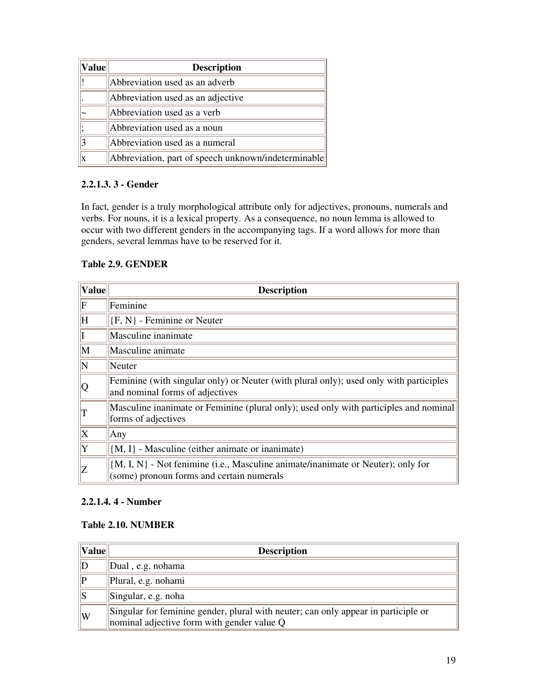| <b>Value</b> | <b>Description</b>                                  |
|--------------|-----------------------------------------------------|
|              | Abbreviation used as an adverb                      |
|              | Abbreviation used as an adjective                   |
|              | Abbreviation used as a verb                         |
|              | Abbreviation used as a noun                         |
|              | Abbreviation used as a numeral                      |
|              | Abbreviation, part of speech unknown/indeterminable |

### **2.2.1.3. 3 - Gender**

In fact, gender is a truly morphological attribute only for adjectives, pronouns, numerals and verbs. For nouns, it is a lexical property. As a consequence, no noun lemma is allowed to occur with two different genders in the accompanying tags. If a word allows for more than genders, several lemmas have to be reserved for it.

#### **Table 2.9. GENDER**

| <b>Value</b>    | <b>Description</b>                                                                                                              |
|-----------------|---------------------------------------------------------------------------------------------------------------------------------|
| $\parallel$ F   | Feminine                                                                                                                        |
| ΙH              | $ {F, N}$ - Feminine or Neuter                                                                                                  |
| $\ I\ $         | Masculine inanimate                                                                                                             |
| M               | Masculine animate                                                                                                               |
| $\mathbb N$     | Neuter                                                                                                                          |
| $  \mathsf{Q}$  | Feminine (with singular only) or Neuter (with plural only); used only with participles<br>and nominal forms of adjectives       |
| $\Vert_{\rm T}$ | Masculine inanimate or Feminine (plural only); used only with participles and nominal<br>forms of adjectives                    |
| $\mathbf{X}$    | Any                                                                                                                             |
| Y               | $\{M, I\}$ - Masculine (either animate or inanimate)                                                                            |
| Z               | ${M, I, N}$ - Not fenimine (i.e., Masculine animate/inanimate or Neuter); only for<br>(some) pronoun forms and certain numerals |

#### **2.2.1.4. 4 - Number**

### **Table 2.10. NUMBER**

| $\ $ Value $\ $           | <b>Description</b>                                                                                                               |  |
|---------------------------|----------------------------------------------------------------------------------------------------------------------------------|--|
| ID                        | Dual, e.g. nohama                                                                                                                |  |
| $\mathbb{P}% _{n=1}^{10}$ | Plural, e.g. nohami                                                                                                              |  |
| lls                       | Singular, e.g. noha                                                                                                              |  |
| W                         | Singular for feminine gender, plural with neuter; can only appear in participle or<br>nominal adjective form with gender value Q |  |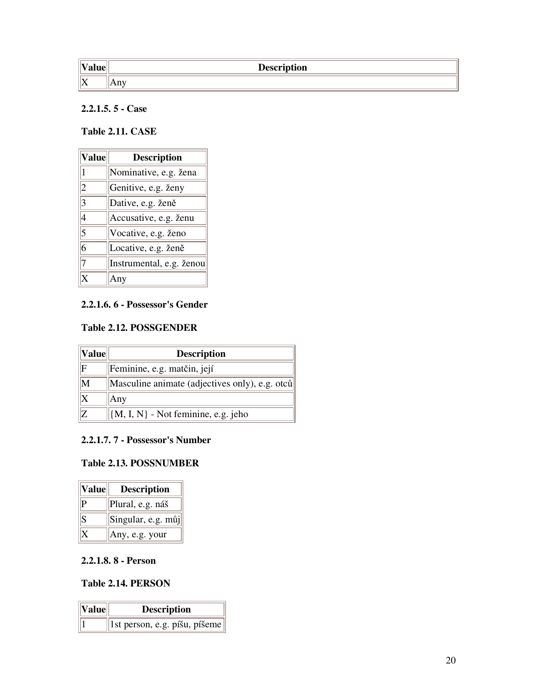| $\mathbf{I}$<br>. <b>.</b> | <b>Description</b>       |
|----------------------------|--------------------------|
| $\  \mathrm{X}$            | <b>13 Y 3</b><br>14. A.L |

#### **2.2.1.5. 5 - Case**

### **Table 2.11. CASE**

| <b>Value</b>   | <b>Description</b>       |
|----------------|--------------------------|
| $\vert$ 1      | Nominative, e.g. žena    |
| 2              | Genitive, e.g. ženy      |
| $\overline{3}$ | Dative, e.g. ženě        |
| $\overline{4}$ | Accusative, e.g. ženu    |
| $\overline{5}$ | Vocative, e.g. ženo      |
| $\overline{6}$ | Locative, e.g. ženě      |
| 7              | Instrumental, e.g. ženou |
|                |                          |

#### **2.2.1.6. 6 - Possessor's Gender**

#### **Table 2.12. POSSGENDER**

| $\ $ Value $\ $                                                                       | <b>Description</b>                             |
|---------------------------------------------------------------------------------------|------------------------------------------------|
| llЕ                                                                                   | Feminine, e.g. matčin, její                    |
| $\mathsf{M}% _{T}=\mathsf{M}_{T}\!\left( a,b\right) ,\ \mathsf{M}_{T}=\mathsf{M}_{T}$ | Masculine animate (adjectives only), e.g. otců |
|                                                                                       | Any                                            |
| 117.                                                                                  | $ M, I, N $ - Not feminine, e.g. jeho          |

### **2.2.1.7. 7 - Possessor's Number**

#### **Table 2.13. POSSNUMBER**

| Value | <b>Description</b> |
|-------|--------------------|
|       | Plural, e.g. náš   |
| S.    | Singular, e.g. můj |
|       | Any, e.g. your     |

### **2.2.1.8. 8 - Person**

#### **Table 2.14. PERSON**

| $\left\Vert \mathbf{Value}\right\Vert$ | <b>Description</b>            |
|----------------------------------------|-------------------------------|
|                                        | 1st person, e.g. píšu, píšeme |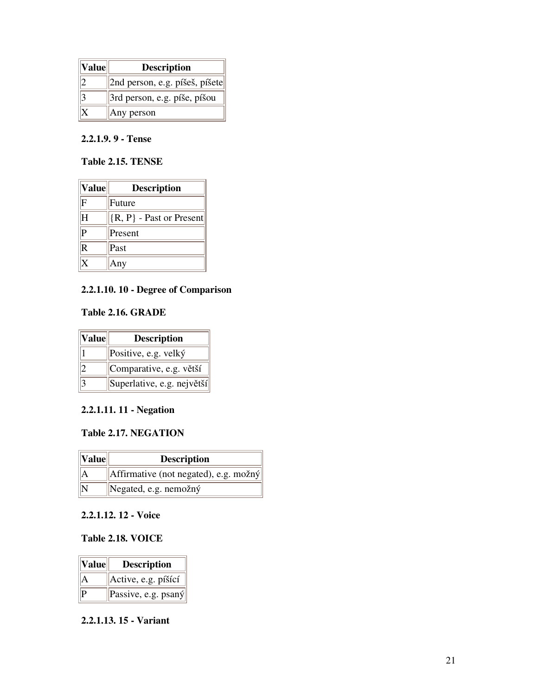| Value | <b>Description</b>                       |
|-------|------------------------------------------|
|       | $  2$ nd person, e.g. píšeš, píšete $  $ |
|       | 3rd person, e.g. píše, píšou             |
|       | Any person                               |

### **2.2.1.9. 9 - Tense**

### **Table 2.15. TENSE**

| $ $ Value $ $           | <b>Description</b>          |
|-------------------------|-----------------------------|
| $\mathrm{F}$            | Future                      |
| ΙH                      | $ R, P\}$ - Past or Present |
| $\overline{P}$          | Present                     |
| $\overline{\mathsf{R}}$ | Past                        |
| X                       | Any                         |

### **2.2.1.10. 10 - Degree of Comparison**

#### **Table 2.16. GRADE**

| Value | <b>Description</b>         |
|-------|----------------------------|
|       | Positive, e.g. velký       |
|       | Comparative, e.g. větší    |
|       | Superlative, e.g. největší |

### **2.2.1.11. 11 - Negation**

#### **Table 2.17. NEGATION**

| $\ $ Value $\ $ | <b>Description</b>                                        |
|-----------------|-----------------------------------------------------------|
|                 | $\left\ $ Affirmative (not negated), e.g. možný $\left\ $ |
|                 | Negated, e.g. nemožný                                     |

### **2.2.1.12. 12 - Voice**

### **Table 2.18. VOICE**

| $\ $ Value $\ $ | <b>Description</b>                                                |
|-----------------|-------------------------------------------------------------------|
|                 | Active, e.g. píšící                                               |
|                 | $\left\Vert \text{Passive}, \text{e.g.} \text{psaný} \right\Vert$ |

#### **2.2.1.13. 15 - Variant**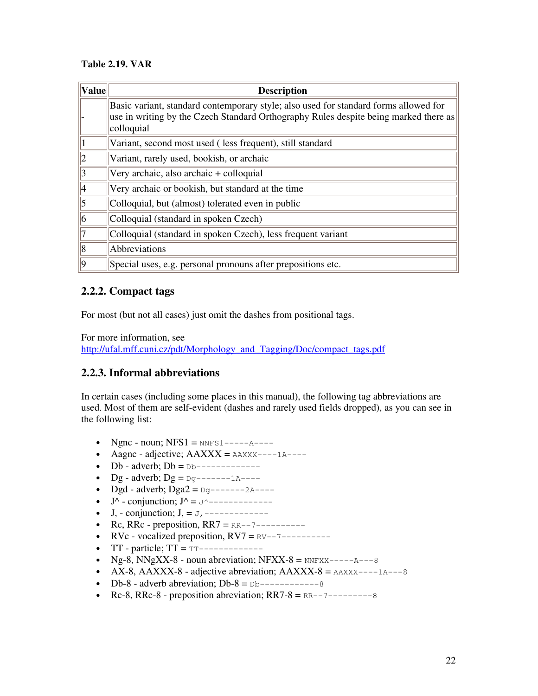### **Table 2.19. VAR**

| <b>Value</b> | <b>Description</b>                                                                                                                                                                         |
|--------------|--------------------------------------------------------------------------------------------------------------------------------------------------------------------------------------------|
|              | Basic variant, standard contemporary style; also used for standard forms allowed for<br>use in writing by the Czech Standard Orthography Rules despite being marked there as<br>colloquial |
|              | Variant, second most used (less frequent), still standard                                                                                                                                  |
| $ 2\rangle$  | Variant, rarely used, bookish, or archaic                                                                                                                                                  |
| 3            | Very archaic, also archaic + colloquial                                                                                                                                                    |
| 4            | Very archaic or bookish, but standard at the time                                                                                                                                          |
| $\vert$ 5    | Colloquial, but (almost) tolerated even in public                                                                                                                                          |
| 16           | Colloquial (standard in spoken Czech)                                                                                                                                                      |
| 17           | Colloquial (standard in spoken Czech), less frequent variant                                                                                                                               |
| 8            | Abbreviations                                                                                                                                                                              |
| $ 0\rangle$  | Special uses, e.g. personal pronouns after prepositions etc.                                                                                                                               |

### **2.2.2. Compact tags**

For most (but not all cases) just omit the dashes from positional tags.

For more information, see

http://ufal.mff.cuni.cz/pdt/Morphology\_and\_Tagging/Doc/compact\_tags.pdf

### **2.2.3. Informal abbreviations**

In certain cases (including some places in this manual), the following tag abbreviations are used. Most of them are self-evident (dashes and rarely used fields dropped), as you can see in the following list:

- Ngnc noun;  $NFS1 = NNFS1---A---A$
- Aagnc adjective;  $AAXXX = AAXXX - -1A - -$
- Db adverb;  $Db = DB$ -------------
- Dg adverb;  $Dg = Dg$ -------1A----
- Dgd adverb; Dga2 =  $Dq$ -------2A----
- J^ conjunction; J^ = J^-------------
- J, conjunction; J, = J,-------------
- Rc, RRc preposition,  $RR7 = RR--7------$
- RVc vocalized preposition,  $RV7 = RV--7------$
- $TT$  particle;  $TT = TT$ -------------
- Ng-8, NNgXX-8 noun abreviation; NFXX-8 =  $N$ FXX- $-$ --- $A$ ---8
- AX-8, AAXXX-8 adjective abreviation;  $AAXXX-8 = AAXXX---1A---8$
- Db-8 adverb abreviation; Db-8 =  $Db$ ----------------8
- Rc-8, RRc-8 preposition abreviation;  $RR7-8 = RR--7-----8$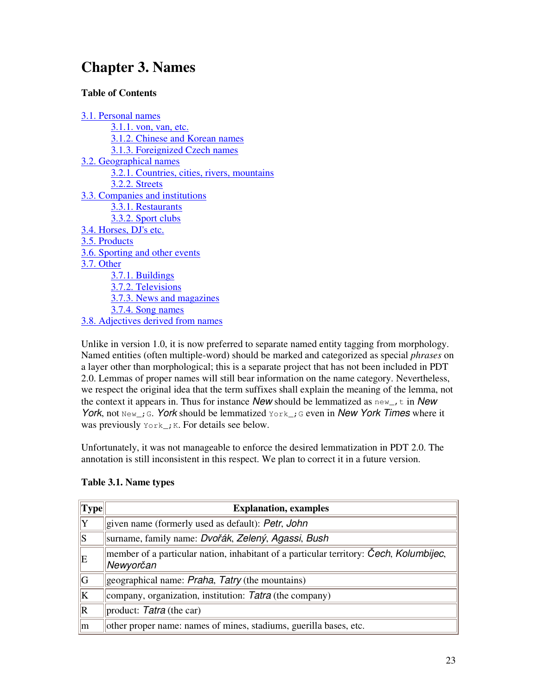# **Chapter 3. Names**

### **Table of Contents**

3.1. Personal names 3.1.1. von, van, etc. 3.1.2. Chinese and Korean names 3.1.3. Foreignized Czech names 3.2. Geographical names 3.2.1. Countries, cities, rivers, mountains 3.2.2. Streets 3.3. Companies and institutions 3.3.1. Restaurants 3.3.2. Sport clubs 3.4. Horses, DJ's etc. 3.5. Products 3.6. Sporting and other events 3.7. Other 3.7.1. Buildings 3.7.2. Televisions 3.7.3. News and magazines 3.7.4. Song names 3.8. Adjectives derived from names

Unlike in version 1.0, it is now preferred to separate named entity tagging from morphology. Named entities (often multiple-word) should be marked and categorized as special *phrases* on a layer other than morphological; this is a separate project that has not been included in PDT 2.0. Lemmas of proper names will still bear information on the name category. Nevertheless, we respect the original idea that the term suffixes shall explain the meaning of the lemma, not the context it appears in. Thus for instance *New* should be lemmatized as new\_,t in *New York*, not New<sub>-</sub>; G. *York* should be lemmatized York<sub>-</sub>; G even in *New York Times* where it was previously  $\text{York}_i$ ; K. For details see below.

Unfortunately, it was not manageable to enforce the desired lemmatization in PDT 2.0. The annotation is still inconsistent in this respect. We plan to correct it in a future version.

| Type | <b>Explanation, examples</b>                                                                        |
|------|-----------------------------------------------------------------------------------------------------|
| Y    | stringularity is default): Petr, John                                                               |
| S    | surname, family name: <i>Dvořák, Zelený, Agassi, Bush</i>                                           |
| ΙE   | member of a particular nation, inhabitant of a particular territory: Cech, Kolumbijec,<br>Newyorčan |
| G    | geographical name: <i>Praha</i> , <i>Tatry</i> (the mountains)                                      |
| K    | company, organization, institution: $Tatra$ (the company)                                           |
| R    | product: Tatra (the car)                                                                            |
| m    | other proper name: names of mines, stadiums, guerilla bases, etc.                                   |

### **Table 3.1. Name types**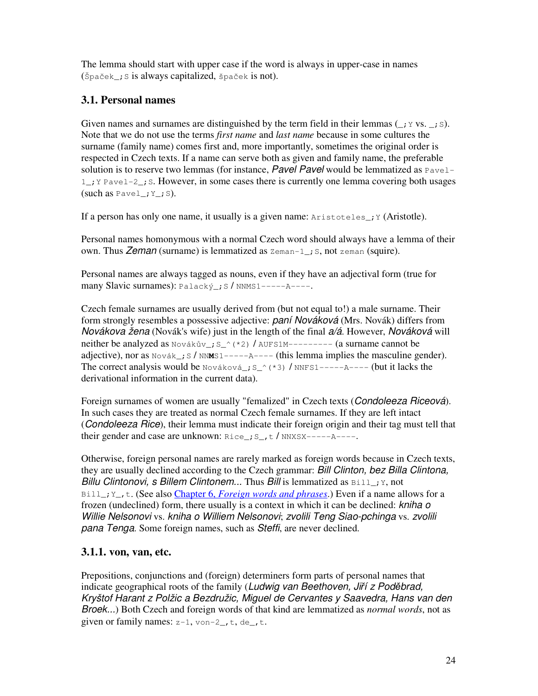The lemma should start with upper case if the word is always in upper-case in names  $(\text{Špaček}; \text{S} \text{ is always capitalized}, \text{Špaček} \text{ is not}).$ 

# **3.1. Personal names**

Given names and surnames are distinguished by the term field in their lemmas  $(j \circ \nu s, \ldots, s)$ . Note that we do not use the terms *first name* and *last name* because in some cultures the surname (family name) comes first and, more importantly, sometimes the original order is respected in Czech texts. If a name can serve both as given and family name, the preferable solution is to reserve two lemmas (for instance, *Pavel Pavel* would be lemmatized as  $P_{\text{ave1}}$ 1\_;Y Pavel-2\_;S. However, in some cases there is currently one lemma covering both usages (such as  $Pavel$ ;  $Y$ ; S).

If a person has only one name, it usually is a given name:  $Aristoteles_i$ ;  $Y(Aristotle)$ .

Personal names homonymous with a normal Czech word should always have a lemma of their own. Thus *Zeman* (surname) is lemmatized as  $\text{Zeman-1}_$ ; S, not zeman (squire).

Personal names are always tagged as nouns, even if they have an adjectival form (true for many Slavic surnames): Palacký ; S / NNMS1-----A----.

Czech female surnames are usually derived from (but not equal to!) a male surname. Their form strongly resembles a possessive adjective: *paní Nováková* (Mrs. Novák) differs from *Novákova žena* (Novák's wife) just in the length of the final *a/á*. However, *Nováková* will neither be analyzed as Novákův\_; S\_^(\*2) / AUFS1M--------- (a surname cannot be adjective), nor as  $\text{Nov\'a}k$  ; S /  $\text{NNMS1}$ -----A---- (this lemma implies the masculine gender). The correct analysis would be  $\text{Nováková}_i$ ;  $S^{\wedge}(*)$  /  $\text{NNFS1---}$ ----A---- (but it lacks the derivational information in the current data).

Foreign surnames of women are usually "femalized" in Czech texts (*Condoleeza Riceová*). In such cases they are treated as normal Czech female surnames. If they are left intact (*Condoleeza Rice*), their lemma must indicate their foreign origin and their tag must tell that their gender and case are unknown:  $\text{Rice}\_\text{r}$ ;  $\text{s}\_\text{r}$   $t$  /  $\text{NNXSX---}$  $\text{A---}$ .

Otherwise, foreign personal names are rarely marked as foreign words because in Czech texts, they are usually declined according to the Czech grammar: *Bill Clinton, bez Billa Clintona, Billu Clintonovi, s Billem Clintonem...* Thus *Bill* is lemmatized as  $B(11)$ ; Y, not Bill\_;Y\_,t. (See also Chapter 6, *Foreign words and phrases*.) Even if a name allows for a frozen (undeclined) form, there usually is a context in which it can be declined: *kniha o Willie Nelsonovi* vs. *kniha o Williem Nelsonovi*; *zvolili Teng Siao-pchinga* vs. *zvolili pana Tenga*. Some foreign names, such as *Steffi*, are never declined.

# **3.1.1. von, van, etc.**

Prepositions, conjunctions and (foreign) determiners form parts of personal names that indicate geographical roots of the family (Ludwig van Beethoven, Jiří z Poděbrad, *Kryštof Harant z Polžic a Bezdružic, Miguel de Cervantes y Saavedra, Hans van den Broek...*) Both Czech and foreign words of that kind are lemmatized as *normal words*, not as given or family names:  $z-1$ ,  $von-2$ ,  $t$ ,  $de$ ,  $t$ .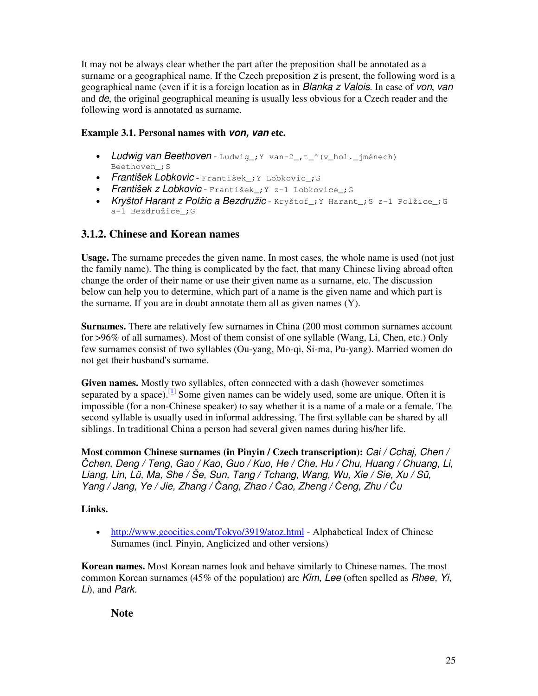It may not be always clear whether the part after the preposition shall be annotated as a surname or a geographical name. If the Czech preposition *z* is present, the following word is a geographical name (even if it is a foreign location as in *Blanka z Valois*. In case of *von*, *van* and *de*, the original geographical meaning is usually less obvious for a Czech reader and the following word is annotated as surname.

### **Example 3.1. Personal names with** *von, van* **etc.**

- Ludwig van Beethoven Ludwig<sub>ry</sub> van-2, t<sup>o</sup> (v\_hol.\_jménech) Beethoven\_;S
- *František Lobkovic* František\_;Y Lobkovic\_;S
- *František z Lobkovic* František\_;Y z-1 Lobkovice\_;G
- *Kryštof Harant z Polžic a Bezdružic* Kryštof\_;Y Harant\_;S z-1 Polžice\_;G a-1 Bezdružice ;G

## **3.1.2. Chinese and Korean names**

**Usage.** The surname precedes the given name. In most cases, the whole name is used (not just the family name). The thing is complicated by the fact, that many Chinese living abroad often change the order of their name or use their given name as a surname, etc. The discussion below can help you to determine, which part of a name is the given name and which part is the surname. If you are in doubt annotate them all as given names (Y).

**Surnames.** There are relatively few surnames in China (200 most common surnames account for >96% of all surnames). Most of them consist of one syllable (Wang, Li, Chen, etc.) Only few surnames consist of two syllables (Ou-yang, Mo-qi, Si-ma, Pu-yang). Married women do not get their husband's surname.

**Given names.** Mostly two syllables, often connected with a dash (however sometimes separated by a space).<sup>[1]</sup> Some given names can be widely used, some are unique. Often it is impossible (for a non-Chinese speaker) to say whether it is a name of a male or a female. The second syllable is usually used in informal addressing. The first syllable can be shared by all siblings. In traditional China a person had several given names during his/her life.

**Most common Chinese surnames (in Pinyin / Czech transcription):** *Cai / Cchaj, Chen / chen, Deng / Teng, Gao / Kao, Guo / Kuo, He / Che, Hu / Chu, Huang / Chuang, Li, Liang, Lin, Lü, Ma, She / Še, Sun, Tang / Tchang, Wang, Wu, Xie / Sie, Xu / Sü, Yang / Jang, Ye / Jie, Zhang / ang, Zhao / ao, Zheng / eng, Zhu / u*

### **Links.**

• http://www.geocities.com/Tokyo/3919/atoz.html - Alphabetical Index of Chinese Surnames (incl. Pinyin, Anglicized and other versions)

**Korean names.** Most Korean names look and behave similarly to Chinese names. The most common Korean surnames (45% of the population) are *Kim, Lee* (often spelled as *Rhee, Yi, Li*), and *Park*.

**Note**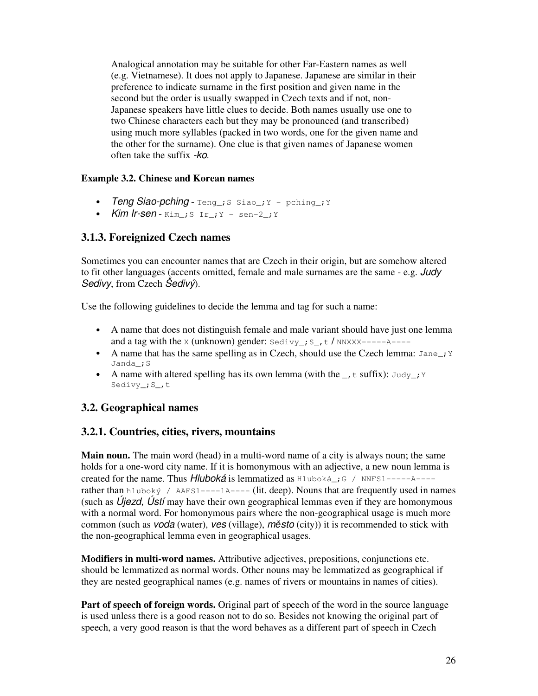Analogical annotation may be suitable for other Far-Eastern names as well (e.g. Vietnamese). It does not apply to Japanese. Japanese are similar in their preference to indicate surname in the first position and given name in the second but the order is usually swapped in Czech texts and if not, non-Japanese speakers have little clues to decide. Both names usually use one to two Chinese characters each but they may be pronounced (and transcribed) using much more syllables (packed in two words, one for the given name and the other for the surname). One clue is that given names of Japanese women often take the suffix *-ko*.

### **Example 3.2. Chinese and Korean names**

- *Teng Siao-pching*  $Teng$ ; S siao<sub>-</sub>; Y pching<sub>-</sub>; Y</sub>
- *Kim Ir-sen*  $Kim$ ;  $S$   $Ir$ ;  $Y$  sen-2;  $Y$

# **3.1.3. Foreignized Czech names**

Sometimes you can encounter names that are Czech in their origin, but are somehow altered to fit other languages (accents omitted, female and male surnames are the same - e.g. *Judy Sedivy*, from Czech *Šedivý*).

Use the following guidelines to decide the lemma and tag for such a name:

- A name that does not distinguish female and male variant should have just one lemma and a tag with the x (unknown) gender:  $Sedivy$ ;  $S_r$ ,  $t$  / NNXXX-----A----
- A name that has the same spelling as in Czech, should use the Czech lemma:  $\text{Jane}_i$ ; Y Janda\_;S
- A name with altered spelling has its own lemma (with the  $\overline{\phantom{a}}$ ,  $\overline{\phantom{a}}$  t suffix): Judy<sub>-</sub>; Y Sedivy\_; S\_, t

# **3.2. Geographical names**

### **3.2.1. Countries, cities, rivers, mountains**

**Main noun.** The main word (head) in a multi-word name of a city is always noun; the same holds for a one-word city name. If it is homonymous with an adjective, a new noun lemma is created for the name. Thus *Hluboká* is lemmatized as Hluboká\_;G / NNFS1-----A--- rather than hluboký / AAFS1----1A---- (lit. deep). Nouns that are frequently used in names (such as *Újezd, Ústí* may have their own geographical lemmas even if they are homonymous with a normal word. For homonymous pairs where the non-geographical usage is much more common (such as *voda* (water), *ves* (village), *msto* (city)) it is recommended to stick with the non-geographical lemma even in geographical usages.

**Modifiers in multi-word names.** Attributive adjectives, prepositions, conjunctions etc. should be lemmatized as normal words. Other nouns may be lemmatized as geographical if they are nested geographical names (e.g. names of rivers or mountains in names of cities).

**Part of speech of foreign words.** Original part of speech of the word in the source language is used unless there is a good reason not to do so. Besides not knowing the original part of speech, a very good reason is that the word behaves as a different part of speech in Czech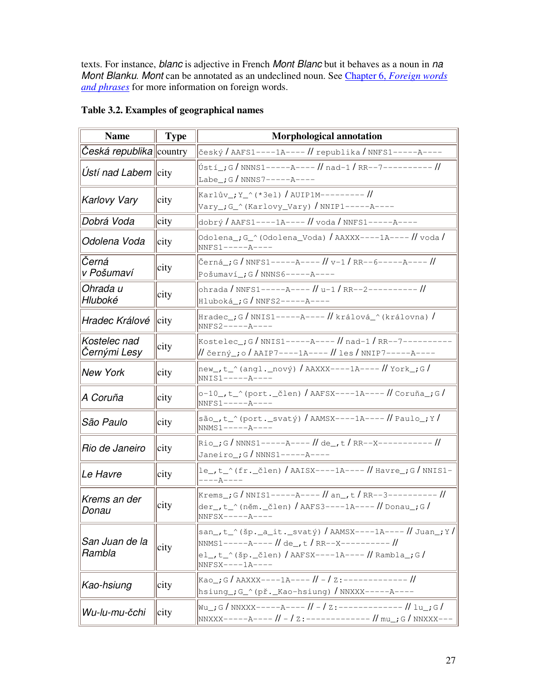texts. For instance, *blanc* is adjective in French *Mont Blanc* but it behaves as a noun in *na Mont Blanku*. *Mont* can be annotated as an undeclined noun. See Chapter 6, *Foreign words and phrases* for more information on foreign words.

| <b>Name</b>                                        | <b>Type</b> | <b>Morphological annotation</b>                                                                                             |
|----------------------------------------------------|-------------|-----------------------------------------------------------------------------------------------------------------------------|
| Česká republika country                            |             |                                                                                                                             |
| Ustí nad Labem $\left\Vert \text{city}\right\Vert$ |             | Ústí_;G/NNNS1-----A---- // nad-1 / RR--7--------- //<br>Labe $:G/NNNS7---A---A$                                             |
| <b>Karlovy Vary</b>                                | city        | Vary_;G_^(Karlovy_Vary) / NNIP1-----A----                                                                                   |
| Dobrá Voda                                         | city        | dobrý / AAFS1----1A---- // voda / NNFS1-----A----                                                                           |
| Odolena Voda                                       | city        | $NNFS1---A---$                                                                                                              |
| Černá<br>v Pošumaví                                | city        | Pošumaví_;G / NNNS6-----A----                                                                                               |
| Ohrada u<br>Hluboké                                | city        | ohrada / NNFS1-----A---- // u-1 / RR--2--------- //<br>Hluboká_;G / NNFS2-----A----                                         |
| Hradec Králové                                     | city        | Hradec_;G/NNIS1-----A---- //králová_^(královna)/<br>$NNFS2---A---A$                                                         |
| Kostelec nad<br>Černými Lesy                       | city        | Kostelec_;G/NNIS1-----A---- // nad-1 / RR--7-----                                                                           |
| <b>New York</b>                                    | city        | $NNIS1---A---$                                                                                                              |
| A Coruña                                           | city        | $NNFS1---A---A$                                                                                                             |
| São Paulo                                          | city        | são_,t_^(port._svatý)/AAMSX----1A---- // Paulo_;Y/<br>$NNMS1---A---$                                                        |
| Rio de Janeiro                                     | city        | Rio_;G/NNNS1-----A---- // de_, t/RR--X----------- //<br>Janeiro_; $G / N N N S 1-----A---A$                                 |
| Le Havre                                           | city        | ----A----                                                                                                                   |
| Krems an der<br>Donau                              | city        | Krems_;G/NNIS1-----A---- // an_,t/RR--3---------- //<br>der_,t_^(něm._člen)/AAFS3----1A---- // Donau_;G/<br>$NNFSX---A---A$ |
| San Juan de la<br>Rambla                           | city        | san_,t_^(šp._a_it._svatý) / AAMSX----1A---- // Juan_;Y / <br>$NNFSX---1A---$                                                |
| Kao-hsiung                                         | city        | hsiung_;G_^(př._Kao-hsiung)/NNXXX-----A----                                                                                 |
| Wu-lu-mu-čchi                                      | city        | Wu ; G / NNXXX------A---- // -/ z:------------- // lu ; G /                                                                 |

## **Table 3.2. Examples of geographical names**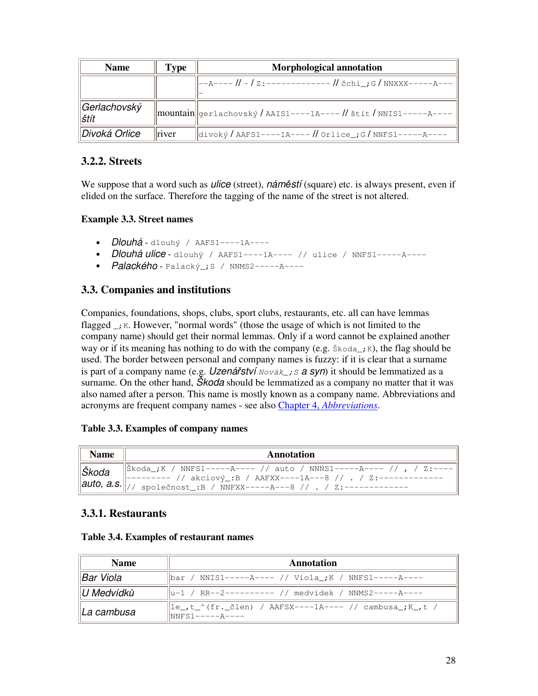| <b>Name</b>            | Type  | <b>Morphological annotation</b>                                   |  |
|------------------------|-------|-------------------------------------------------------------------|--|
|                        |       |                                                                   |  |
| ∥Gerlachovský<br>∣štít |       | mountain gerlachovský / AAIS1----1A---- // štít / NNIS1-----A---- |  |
| ∥Divoká Orlice         | river | divoký / AAFS1----1A---- // Orlice_; G / NNFS1-----A----          |  |

## **3.2.2. Streets**

We suppose that a word such as *ulice* (street), *náměstí* (square) etc. is always present, even if elided on the surface. Therefore the tagging of the name of the street is not altered.

### **Example 3.3. Street names**

- *Dlouhá* dlouhý / AAFS1----1A----
- *Dlouhá ulice* dlouhý / AAFS1----1A---- // ulice / NNFS1-----A----
- *Palackého* Palacký\_;S / NNMS2-----A----

## **3.3. Companies and institutions**

Companies, foundations, shops, clubs, sport clubs, restaurants, etc. all can have lemmas flagged  $\overline{\phantom{a}}$ ; K. However, "normal words" (those the usage of which is not limited to the company name) should get their normal lemmas. Only if a word cannot be explained another way or if its meaning has nothing to do with the company (e.g.  $\frac{1}{2}$  koda<sub>z</sub>; K), the flag should be used. The border between personal and company names is fuzzy: if it is clear that a surname is part of a company name (e.g. *Uzenářství*  $Nov \{ k \}$ ; *s a syn*) it should be lemmatized as a surname. On the other hand, *Škoda* should be lemmatized as a company no matter that it was also named after a person. This name is mostly known as a company name. Abbreviations and acronyms are frequent company names - see also Chapter 4, *Abbreviations*.

### **Table 3.3. Examples of company names**

| <b>Name</b> | Annotation                                                                                                                                    |  |  |
|-------------|-----------------------------------------------------------------------------------------------------------------------------------------------|--|--|
|             | -------- // akciový_:B / AAFXX----1A---8 // . / Z:-------<br>$\ $ auto, a.s. $\ $ // společnost_:B / NNFXX-----A---8 // . / Z:--------------- |  |  |

# **3.3.1. Restaurants**

| <b>Name</b>            | Annotation                                                                                                                                                                                                                                                                                                                                                    |  |  |
|------------------------|---------------------------------------------------------------------------------------------------------------------------------------------------------------------------------------------------------------------------------------------------------------------------------------------------------------------------------------------------------------|--|--|
| ∥Bar Viola             | bar / NNIS1------A---- // Viola_; K / NNFS1------A----                                                                                                                                                                                                                                                                                                        |  |  |
| $\parallel$ U Medvídků | u-1 / RR--2---------- // medvídek / NNMS2-----A----                                                                                                                                                                                                                                                                                                           |  |  |
| ∥La cambusa            | $\left\  \ln \left( -1 \right) \right\  \leq t \leq \frac{1}{t}$ (fr. $\left[ \frac{1}{2} \ln \left( 1 - \frac{1}{2} \ln \left( -1 \right) \right) \right]$ / $\left[ \frac{1}{2} \ln \left( -1 \right) \right]$ / $\left[ \frac{1}{2} \ln \left( 1 - \frac{1}{2} \ln \left( -1 \right) \right) \right]$<br>$\sqrt{\frac{1}{N}S_1 - \frac{1}{1}S_2 - \cdots}$ |  |  |

### **Table 3.4. Examples of restaurant names**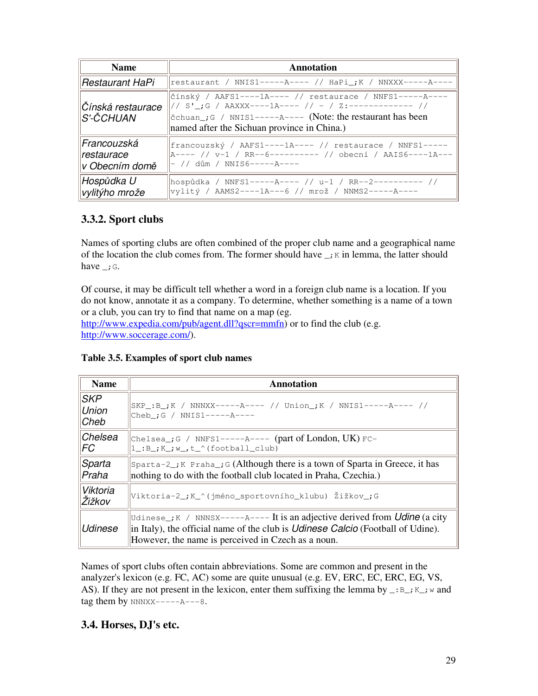| <b>Name</b>                                 | Annotation                                                                                                                                                                     |
|---------------------------------------------|--------------------------------------------------------------------------------------------------------------------------------------------------------------------------------|
| Restaurant HaPi                             | restaurant / NNIS1-----A---- // HaPi_; K / NNXXX-----A----                                                                                                                     |
| Čínská restaurace<br>lS'-ČCHUAN             | čínský / AAFS1----1A---- // restaurace / NNFS1-----A----<br>$\alpha$ chuan ; G / NNIS1-----A---- (Note: the restaurant has been<br>named after the Sichuan province in China.) |
| Francouzská<br>restaurace<br>v Obecním domě | francouzský / AAFS1----1A---- // restaurace / NNFS1-----<br> A---- // v-1 / RR--6---------- // obecní / AAIS6----1A---<br> - // dům / NNIS6-----A----                          |
| Hospůdka U<br>vylitýho mrože                | hospůdka / NNFS1-----A---- // u-1 / RR--2--------- //<br>vylitý / AAMS2----1A---6 // mrož / NNMS2-----A----                                                                    |

# **3.3.2. Sport clubs**

Names of sporting clubs are often combined of the proper club name and a geographical name of the location the club comes from. The former should have  $\overrightarrow{K}$  in lemma, the latter should have  $\therefore$  G.

Of course, it may be difficult tell whether a word in a foreign club name is a location. If you do not know, annotate it as a company. To determine, whether something is a name of a town or a club, you can try to find that name on a map (eg. http://www.expedia.com/pub/agent.dll?qscr=mmfn) or to find the club (e.g. http://www.soccerage.com/).

**Table 3.5. Examples of sport club names**

| <b>Name</b>                        | Annotation                                                                                                                                                                                                                             |
|------------------------------------|----------------------------------------------------------------------------------------------------------------------------------------------------------------------------------------------------------------------------------------|
| <b>SKP</b><br><b>Union</b><br>Cheb | $ SKP_-;B_-;K $ / NNNXX-----A---- // Union_; K / NNIS1-----A---- //<br>$ {\rm Cheb}$ ; G / NNIS1-----A----                                                                                                                             |
| Chelsea<br>FC                      | Chelsea_; G / NNFS1-----A---- (part of London, UK) FC-<br>$ 1$ :B_;K_;w_,t_^(football_club)                                                                                                                                            |
| Sparta<br>Praha                    | $\beta$ Sparta-2, K Praha, G (Although there is a town of Sparta in Greece, it has<br>nothing to do with the football club located in Praha, Czechia.)                                                                                 |
| Viktoria<br>Žižkov                 | Viktoria-2_; K_^(jméno_sportovního_klubu) Žižkov_; G                                                                                                                                                                                   |
| <b>Udinese</b>                     | Udinese <sub>rk</sub> / NNNSX------A---- It is an adjective derived from Udine (a city<br>in Italy), the official name of the club is <i>Udinese Calcio</i> (Football of Udine).<br>However, the name is perceived in Czech as a noun. |

Names of sport clubs often contain abbreviations. Some are common and present in the analyzer's lexicon (e.g. FC, AC) some are quite unusual (e.g. EV, ERC, EC, ERC, EG, VS, AS). If they are not present in the lexicon, enter them suffixing the lemma by  $\Box : B \Box : K \Box : w$  and tag them by  $NNNXX---A---8$ .

# **3.4. Horses, DJ's etc.**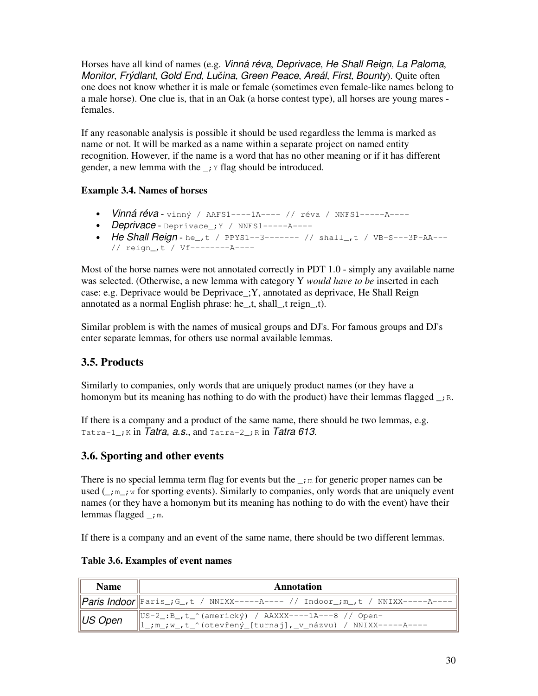Horses have all kind of names (e.g. *Vinná réva*, *Deprivace*, *He Shall Reign*, *La Paloma*, *Monitor*, *Frýdlant*, *Gold End*, *Luina*, *Green Peace*, *Areál*, *First*, *Bounty*). Quite often one does not know whether it is male or female (sometimes even female-like names belong to a male horse). One clue is, that in an Oak (a horse contest type), all horses are young mares females.

If any reasonable analysis is possible it should be used regardless the lemma is marked as name or not. It will be marked as a name within a separate project on named entity recognition. However, if the name is a word that has no other meaning or if it has different gender, a new lemma with the  $\cdot$ ;  $\cdot$  flag should be introduced.

### **Example 3.4. Names of horses**

- *Vinná réva* vinný / AAFS1----1A---- // réva / NNFS1-----A----
- *Deprivace* Deprivace\_;Y / NNFS1-----A----
- *He Shall Reign* he\_,t / PPYS1--3------- // shall\_,t / VB-S---3P-AA--- // reign\_,t / Vf--------A----

Most of the horse names were not annotated correctly in PDT 1.0 - simply any available name was selected. (Otherwise, a new lemma with category Y *would have to be* inserted in each case: e.g. Deprivace would be Deprivace\_;Y, annotated as deprivace, He Shall Reign annotated as a normal English phrase: he\_,t, shall\_,t reign\_,t).

Similar problem is with the names of musical groups and DJ's. For famous groups and DJ's enter separate lemmas, for others use normal available lemmas.

### **3.5. Products**

Similarly to companies, only words that are uniquely product names (or they have a homonym but its meaning has nothing to do with the product) have their lemmas flagged  $\rightarrow$   $\beta$ .

If there is a company and a product of the same name, there should be two lemmas, e.g. Tatra-1\_;K in *Tatra, a.s.*, and Tatra-2\_;R in *Tatra 613*.

### **3.6. Sporting and other events**

There is no special lemma term flag for events but the  $\cdot$ ; m for generic proper names can be used  $(\_,\_{,\cdot\})$  for sporting events). Similarly to companies, only words that are uniquely event names (or they have a homonym but its meaning has nothing to do with the event) have their lemmas flagged  $\_\cdot$ m.

If there is a company and an event of the same name, there should be two different lemmas.

| <b>Name</b>  | Annotation                                                                                                               |
|--------------|--------------------------------------------------------------------------------------------------------------------------|
|              | Paris Indoor  Paris_;G_,t / NNIXX-----A---- // Indoor_;m_,t / NNIXX-----A----                                            |
| $\ $ US Open | US-2_:B_,t_^(americký) / AAXXX----1A---8 // Open-<br>$\ 1$ ; m_; w_, t_^(otevřený [turnaj], _v_názvu) / NNIXX------A---- |

#### **Table 3.6. Examples of event names**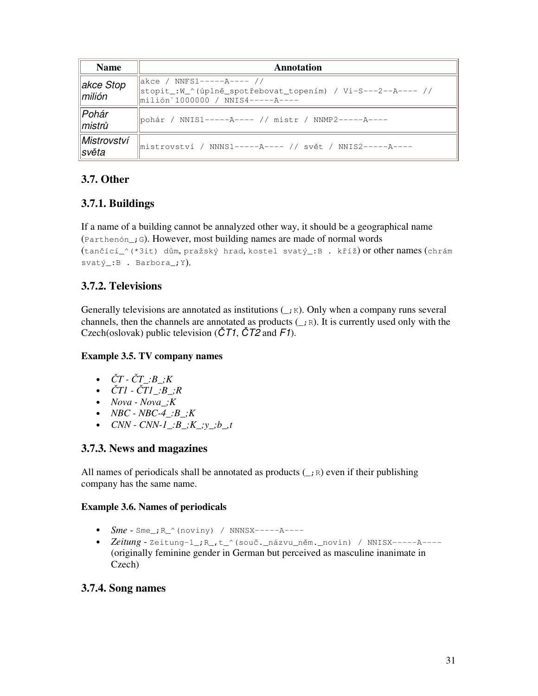| <b>Name</b>                                 | Annotation                                                                                                                      |  |  |
|---------------------------------------------|---------------------------------------------------------------------------------------------------------------------------------|--|--|
| $\parallel$ akce Stop<br>$\parallel$ milión | akce / NNFS1-----A---- //<br> stopit_:W_^(úplně_spotřebovat_topením) / Vi-S---2--A---- //<br>  milión`1000000 / NNIS4-----A---- |  |  |
| Pohár<br>$\ $ mistrů                        | pohár / NNIS1-----A---- // mistr / NNMP2-----A----                                                                              |  |  |
| Mistrovství<br>∥světa                       | mistrovství / NNNS1-----A---- // svět / NNIS2-----A----                                                                         |  |  |

# **3.7. Other**

# **3.7.1. Buildings**

If a name of a building cannot be annalyzed other way, it should be a geographical name (Parthenón\_;G). However, most building names are made of normal words

```
(tančící_^(*3it) dům, pražský hrad, kostel svatý_:B . kříž) or other names (chrám
svatý_:B . Barbora_;Y).
```
# **3.7.2. Televisions**

Generally televisions are annotated as institutions  $(\cdot, \kappa)$ . Only when a company runs several channels, then the channels are annotated as products  $(\cdot, \mathbb{R})$ . It is currently used only with the Czech(oslovak) public television (*T1*, *T2* and *F1*).

### **Example 3.5. TV company names**

- $\check{C}T \check{C}T : B : K$
- $\check{C}T1 \check{C}T1 \_B \_R$
- *Nova - Nova\_;K*
- *NBC - NBC-4\_:B\_;K*
- $CNN CNN 1 : B, K, y, b, t$

# **3.7.3. News and magazines**

All names of periodicals shall be annotated as products  $(\_i, \_R)$  even if their publishing company has the same name.

### **Example 3.6. Names of periodicals**

- $Sme$   $Sme$ <sub>;</sub> $R^{\wedge}$ (noviny) / NNNSX----- $A$ ----
- *Zeitung* Zeitung-1<sub>-</sub>; R<sub>\_</sub>, t\_^(souč.\_názvu\_něm.\_novin) / NNISX------A----(originally feminine gender in German but perceived as masculine inanimate in Czech)

### **3.7.4. Song names**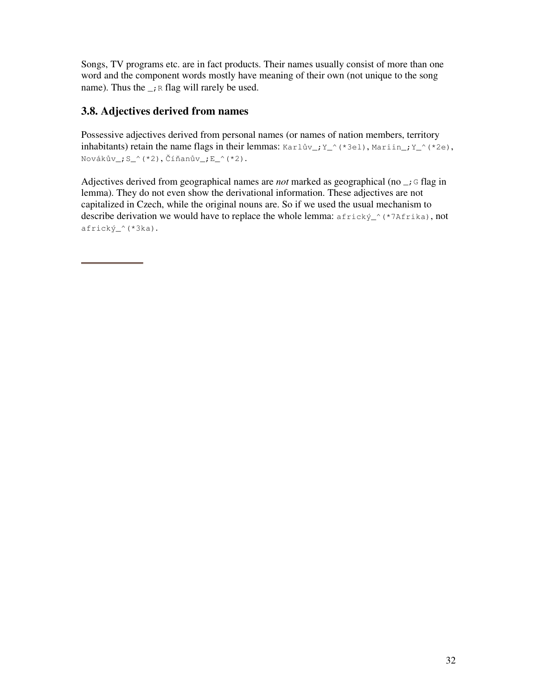Songs, TV programs etc. are in fact products. Their names usually consist of more than one word and the component words mostly have meaning of their own (not unique to the song name). Thus the  $\rightarrow$  R flag will rarely be used.

# **3.8. Adjectives derived from names**

Possessive adjectives derived from personal names (or names of nation members, territory inhabitants) retain the name flags in their lemmas: Karlův\_; Y\_^(\*3el), Mariin\_; Y\_^(\*2e), Novákův\_;S\_^(\*2),Číňanův\_;E\_^(\*2).

Adjectives derived from geographical names are *not* marked as geographical (no  $\overline{\phantom{a}}$ ; G flag in lemma). They do not even show the derivational information. These adjectives are not capitalized in Czech, while the original nouns are. So if we used the usual mechanism to describe derivation we would have to replace the whole lemma:  $africky^{\prime}$  (\*7Afrika), not africký\_^(\*3ka).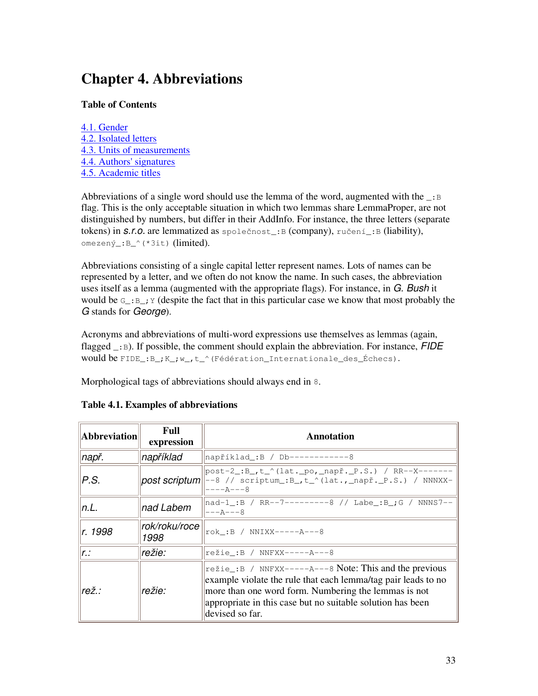# **Chapter 4. Abbreviations**

### **Table of Contents**

4.1. Gender 4.2. Isolated letters 4.3. Units of measurements 4.4. Authors' signatures 4.5. Academic titles

Abbreviations of a single word should use the lemma of the word, augmented with the  $\Box$ : flag. This is the only acceptable situation in which two lemmas share LemmaProper, are not distinguished by numbers, but differ in their AddInfo. For instance, the three letters (separate tokens) in *s.r.o.* are lemmatized as společnost\_:B (company), ručení\_:B (liability), omezený\_:B\_^(\*3it) (limited).

Abbreviations consisting of a single capital letter represent names. Lots of names can be represented by a letter, and we often do not know the name. In such cases, the abbreviation uses itself as a lemma (augmented with the appropriate flags). For instance, in *G. Bush* it would be  $G_i: B_i$  y (despite the fact that in this particular case we know that most probably the *G* stands for *George*).

Acronyms and abbreviations of multi-word expressions use themselves as lemmas (again, flagged \_:B). If possible, the comment should explain the abbreviation. For instance, *FIDE* would be FIDE\_:B\_;K\_;w\_,t\_^(Fédération\_Internationale\_des\_Échecs).

Morphological tags of abbreviations should always end in 8.

| Abbreviation | Full<br>expression    | <b>Annotation</b>                                                                                                                                                                                                                                                        |
|--------------|-----------------------|--------------------------------------------------------------------------------------------------------------------------------------------------------------------------------------------------------------------------------------------------------------------------|
| např.        | například             | například_:B / Db------------8                                                                                                                                                                                                                                           |
| P.S.         | $ post$ scriptum $ $  | post-2_:B_,t_^(lat._po,_např._P.S.) / RR--X-------<br> --8 // scriptum_:B_,t_^(lat.,_např._P.S.) / NNNXX-<br>----A---8                                                                                                                                                   |
| n.L.         | nad Labem             | nad-1_:B / RR--7---------8 // Labe_:B_;G / NNNS7--<br>$---A---8$                                                                                                                                                                                                         |
| r. 1998      | rok/roku/roce<br>1998 | rok:B / NNIXX------A---8                                                                                                                                                                                                                                                 |
| lr.:         | režie:                | režie_:B / NNFXX-----A---8                                                                                                                                                                                                                                               |
| rež.:        | režie:                | $\vert$ režie_:B / NNFXX-----A---8 Note: This and the previous<br>example violate the rule that each lemma/tag pair leads to no<br>more than one word form. Numbering the lemmas is not<br>appropriate in this case but no suitable solution has been<br>devised so far. |

### **Table 4.1. Examples of abbreviations**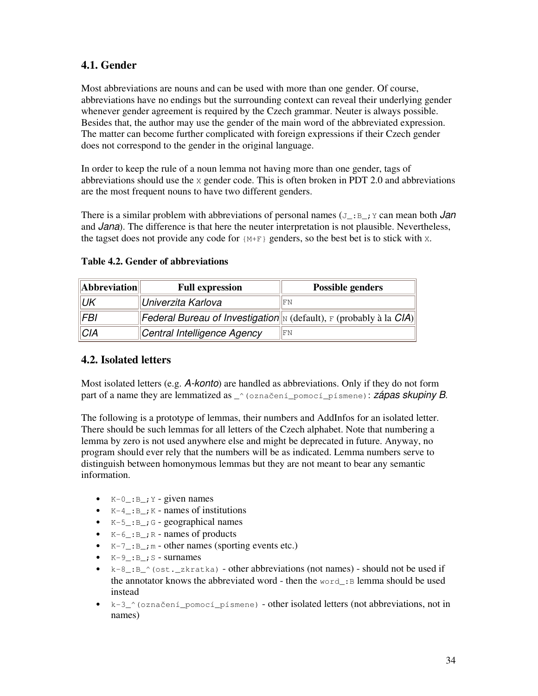# **4.1. Gender**

Most abbreviations are nouns and can be used with more than one gender. Of course, abbreviations have no endings but the surrounding context can reveal their underlying gender whenever gender agreement is required by the Czech grammar. Neuter is always possible. Besides that, the author may use the gender of the main word of the abbreviated expression. The matter can become further complicated with foreign expressions if their Czech gender does not correspond to the gender in the original language.

In order to keep the rule of a noun lemma not having more than one gender, tags of abbreviations should use the  $x$  gender code. This is often broken in PDT 2.0 and abbreviations are the most frequent nouns to have two different genders.

There is a similar problem with abbreviations of personal names  $(J_i:B_j;Y)$  can mean both *Jan* and *Jana*). The difference is that here the neuter interpretation is not plausible. Nevertheless, the tagset does not provide any code for  ${M+F}$  genders, so the best bet is to stick with x.

| Abbreviation | <b>Full expression</b>                                                         | <b>Possible genders</b> |
|--------------|--------------------------------------------------------------------------------|-------------------------|
| .UK          | ∥Univerzita Karlova                                                            | <b>IFN</b>              |
| <b>FBI</b>   | <b>Federal Bureau of Investigation</b> N (default), $F$ (probably à la $CIA$ ) |                         |
| <b>CIA</b>   | Central Intelligence Agency                                                    | <b>IFN</b>              |

#### **Table 4.2. Gender of abbreviations**

### **4.2. Isolated letters**

Most isolated letters (e.g. *A-konto*) are handled as abbreviations. Only if they do not form part of a name they are lemmatized as  $\sim$  (označení pomocí písmene): *zápas skupiny B*.

The following is a prototype of lemmas, their numbers and AddInfos for an isolated letter. There should be such lemmas for all letters of the Czech alphabet. Note that numbering a lemma by zero is not used anywhere else and might be deprecated in future. Anyway, no program should ever rely that the numbers will be as indicated. Lemma numbers serve to distinguish between homonymous lemmas but they are not meant to bear any semantic information.

- $K-0$ :  $B$ ;  $Y$  given names
- $K-4$ :  $B$ ;  $K-$  names of institutions
- $K-5$ :  $B$ ;  $G$  geographical names
- $K-6$ :  $B$ ;  $R$  names of products
- $K-7$ :  $B_i$   $m$  other names (sporting events etc.)
- $\bullet$  K-9<sub>-</sub>: B<sub>-i</sub> S surnames
- $k-8$ :  $B^{\circ}$  (ost.\_zkratka) other abbreviations (not names) should not be used if the annotator knows the abbreviated word - then the  $word$ :B lemma should be used instead
- $k-3$ <sup>o</sup> (označení pomocí písmene) other isolated letters (not abbreviations, not in names)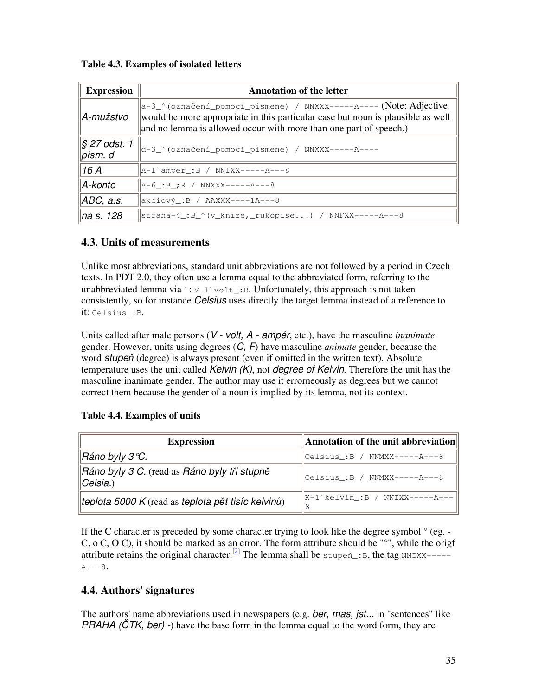| <b>Expression</b>                        | <b>Annotation of the letter</b>                                                                                                                                                                                           |  |  |
|------------------------------------------|---------------------------------------------------------------------------------------------------------------------------------------------------------------------------------------------------------------------------|--|--|
| A-mužstvo                                | a-3_^(označení_pomocí_písmene) / NNXXX-----A---- (Note: Adjective<br>would be more appropriate in this particular case but noun is plausible as well<br>and no lemma is allowed occur with more than one part of speech.) |  |  |
| $\frac{1}{2}$ S 27 odst. 1<br>$p$ ísm. d | d-3_^(označení_pomocí_písmene) / NNXXX-----A----                                                                                                                                                                          |  |  |
| 16A                                      | A-1`ampér_:B / NNIXX-----A---8                                                                                                                                                                                            |  |  |
| A-konto                                  | $ A-6$ : B <sub>i</sub> R / NNXXX-----A---8                                                                                                                                                                               |  |  |
| ABC, a.s.                                | $\vert$ akciový_:B / AAXXX----1A---8                                                                                                                                                                                      |  |  |
| na s. 128                                | strana-4_:B_^(v_knize,_rukopise) / NNFXX-----A---8                                                                                                                                                                        |  |  |

### **Table 4.3. Examples of isolated letters**

### **4.3. Units of measurements**

Unlike most abbreviations, standard unit abbreviations are not followed by a period in Czech texts. In PDT 2.0, they often use a lemma equal to the abbreviated form, referring to the unabbreviated lemma via  $\cdot : v^{-1}$  volt\_:B. Unfortunately, this approach is not taken consistently, so for instance *Celsius* uses directly the target lemma instead of a reference to it: Celsius\_:B.

Units called after male persons (*V - volt, A - ampér*, etc.), have the masculine *inanimate* gender. However, units using degrees (*C, F*) have masculine *animate* gender, because the word *stupeň* (degree) is always present (even if omitted in the written text). Absolute temperature uses the unit called *Kelvin (K)*, not *degree of Kelvin*. Therefore the unit has the masculine inanimate gender. The author may use it errorneously as degrees but we cannot correct them because the gender of a noun is implied by its lemma, not its context.

### **Table 4.4. Examples of units**

| <b>Expression</b>                                             | $\Vert$ Annotation of the unit abbreviation $\Vert$ |
|---------------------------------------------------------------|-----------------------------------------------------|
| ∥Ráno byly 3 ℃.                                               | Celsius_:B / NNMXX-----A---8                        |
| Ráno byly 3 C. (read as Ráno byly tři stupně<br>$\ C$ elsia.) | $\ C \in l_s : B \neq \text{NNMXX---}A---8$         |
| teplota 5000 K (read as teplota pět tisíc kelvinů)            | K-1`kelvin_:B / NNIXX-----A---<br>l8                |

If the C character is preceded by some character trying to look like the degree symbol  $\degree$  (eg. -C, o C, O C), it should be marked as an error. The form attribute should be "°", while the origf attribute retains the original character.<sup>[2]</sup> The lemma shall be stupen<sup>\*</sup>: B, the tag NNIXX----- $A---8$ 

### **4.4. Authors' signatures**

The authors' name abbreviations used in newspapers (e.g. *ber, mas, jst...* in "sentences" like *PRAHA (TK, ber) -*) have the base form in the lemma equal to the word form, they are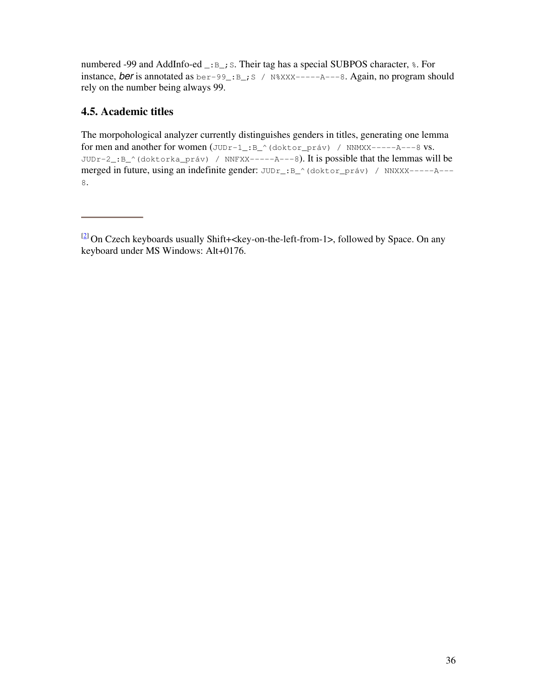numbered -99 and AddInfo-ed \_: B\_; S. Their tag has a special SUBPOS character,  $\epsilon$ . For instance, *ber* is annotated as  $ber-99$ <sub>-</sub>: $B$ <sub>-</sub>; S /  $N$ <sup>8</sup>XXX-----A---8. Again, no program should rely on the number being always 99.

## **4.5. Academic titles**

The morpohological analyzer currently distinguishes genders in titles, generating one lemma for men and another for women (JUDr-1\_:B\_^(doktor\_práv) / NNMXX-----A---8 vs. JUDr-2\_:B\_^(doktorka\_práv) / NNFXX-----A---8). It is possible that the lemmas will be merged in future, using an indefinite gender: JUDr\_:B\_^(doktor\_práv) / NNXXX-----A---8.

 $[2]$  On Czech keyboards usually Shift+<key-on-the-left-from-1>, followed by Space. On any keyboard under MS Windows: Alt+0176.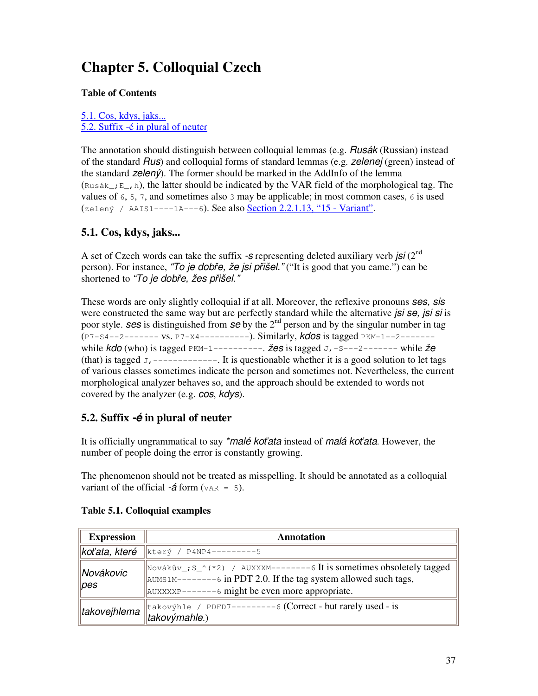# **Chapter 5. Colloquial Czech**

### **Table of Contents**

5.1. Cos, kdys, jaks... 5.2. Suffix -é in plural of neuter

The annotation should distinguish between colloquial lemmas (e.g. *Rusák* (Russian) instead of the standard *Rus*) and colloquial forms of standard lemmas (e.g. *zelenej* (green) instead of the standard *zelený*). The former should be marked in the AddInfo of the lemma (Rusák;  $E_{\text{th}}$ , h), the latter should be indicated by the VAR field of the morphological tag. The values of  $6, 5, 7$ , and sometimes also 3 may be applicable; in most common cases,  $6$  is used (zelený / AAIS1----1A---6). See also Section 2.2.1.13, "15 - Variant".

# **5.1. Cos, kdys, jaks...**

A set of Czech words can take the suffix *-s* representing deleted auxiliary verb *jsi* (2 nd person). For instance, "To je dobře, že jsi přišel." ("It is good that you came.") can be shortened to "To je dobře, žes přišel.'

These words are only slightly colloquial if at all. Moreover, the reflexive pronouns *ses, sis* were constructed the same way but are perfectly standard while the alternative *jsi se, jsi si* is poor style. **ses** is distinguished from **se** by the 2<sup>nd</sup> person and by the singular number in tag (P7-S4--2------- vs. P7-X4----------). Similarly, *kdos* is tagged PKM-1--2------ while *kdo* (who) is tagged PKM-1----------. *žes* is tagged J,-S---2------- while *že* (that) is tagged J, ------------. It is questionable whether it is a good solution to let tags of various classes sometimes indicate the person and sometimes not. Nevertheless, the current morphological analyzer behaves so, and the approach should be extended to words not covered by the analyzer (e.g. *cos*, *kdys*).

# **5.2. Suffix** *-é* **in plural of neuter**

It is officially ungrammatical to say *\*malé koata* instead of *malá koata*. However, the number of people doing the error is constantly growing.

The phenomenon should not be treated as misspelling. It should be annotated as a colloquial variant of the official  $-\acute{a}$  form ( $VAR = 5$ ).

| <b>Expression</b>    | <b>Annotation</b>                                                                                                                                                                                                        |  |
|----------------------|--------------------------------------------------------------------------------------------------------------------------------------------------------------------------------------------------------------------------|--|
|                      | <b>koťata, které</b>  který / P4NP4---------5                                                                                                                                                                            |  |
| Novákovic<br>$\ pes$ | $\parallel$ Novákův_; S_^(*2) / AUXXXM--------6 It is sometimes obsoletely tagged<br>$\vert$ AUMS1M--------6 in PDT 2.0. If the tag system allowed such tags,<br>$\vert$ AUXXXXP-------6 might be even more appropriate. |  |
| ∥takovejhlema        | takovýhle / PDFD7---------6 (Correct - but rarely used - is<br>$\vert$ takovýmahle.)                                                                                                                                     |  |

### **Table 5.1. Colloquial examples**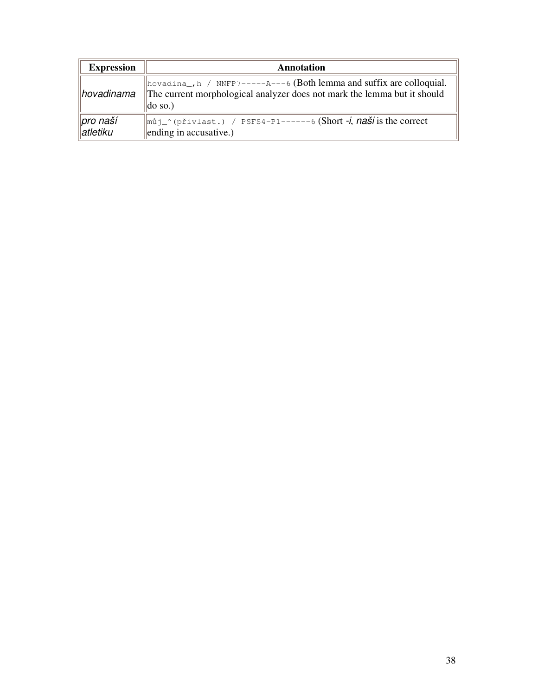| <b>Expression</b>                 | <b>Annotation</b>                                                                                                                                                        |  |
|-----------------------------------|--------------------------------------------------------------------------------------------------------------------------------------------------------------------------|--|
| $\ $ hovadinama                   | hovadina_, h / NNFP7-----A---6 (Both lemma and suffix are colloquial.<br>The current morphological analyzer does not mark the lemma but it should<br>$\parallel$ do so.) |  |
| ∥pro naší<br>$\parallel$ atletiku | můj_^(přivlast.) / PSFS4-P1------6 (Short -i, naši is the correct<br>ending in accusative.)                                                                              |  |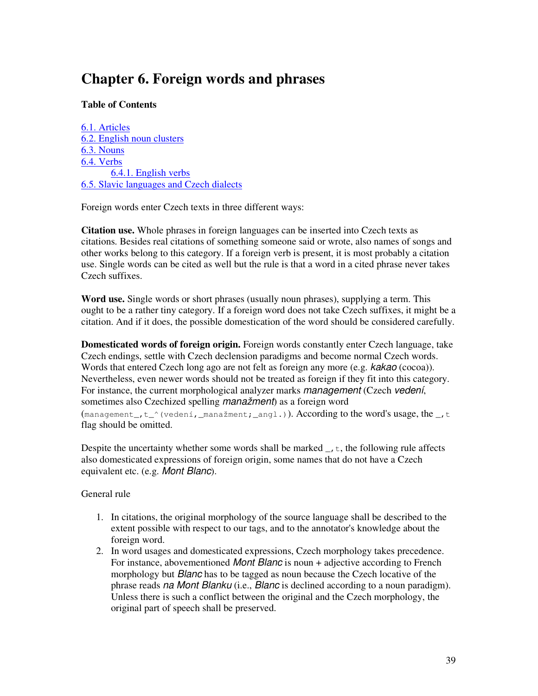# **Chapter 6. Foreign words and phrases**

### **Table of Contents**

6.1. Articles 6.2. English noun clusters 6.3. Nouns 6.4. Verbs 6.4.1. English verbs 6.5. Slavic languages and Czech dialects

Foreign words enter Czech texts in three different ways:

**Citation use.** Whole phrases in foreign languages can be inserted into Czech texts as citations. Besides real citations of something someone said or wrote, also names of songs and other works belong to this category. If a foreign verb is present, it is most probably a citation use. Single words can be cited as well but the rule is that a word in a cited phrase never takes Czech suffixes.

**Word use.** Single words or short phrases (usually noun phrases), supplying a term. This ought to be a rather tiny category. If a foreign word does not take Czech suffixes, it might be a citation. And if it does, the possible domestication of the word should be considered carefully.

**Domesticated words of foreign origin.** Foreign words constantly enter Czech language, take Czech endings, settle with Czech declension paradigms and become normal Czech words. Words that entered Czech long ago are not felt as foreign any more (e.g. *kakao* (cocoa)). Nevertheless, even newer words should not be treated as foreign if they fit into this category. For instance, the current morphological analyzer marks *management* (Czech *vedení*, sometimes also Czechized spelling *manažment*) as a foreign word (management<sub>,t</sub> t<sub>r</sub> (vedení, manažment; angl.)). According to the word's usage, the  $_t$ ,t flag should be omitted.

Despite the uncertainty whether some words shall be marked  $\overline{\ }$ ,  $\overline{\ }$ , the following rule affects also domesticated expressions of foreign origin, some names that do not have a Czech equivalent etc. (e.g. *Mont Blanc*).

General rule

- 1. In citations, the original morphology of the source language shall be described to the extent possible with respect to our tags, and to the annotator's knowledge about the foreign word.
- 2. In word usages and domesticated expressions, Czech morphology takes precedence. For instance, abovementioned *Mont Blanc* is noun + adjective according to French morphology but *Blanc* has to be tagged as noun because the Czech locative of the phrase reads *na Mont Blanku* (i.e., *Blanc* is declined according to a noun paradigm). Unless there is such a conflict between the original and the Czech morphology, the original part of speech shall be preserved.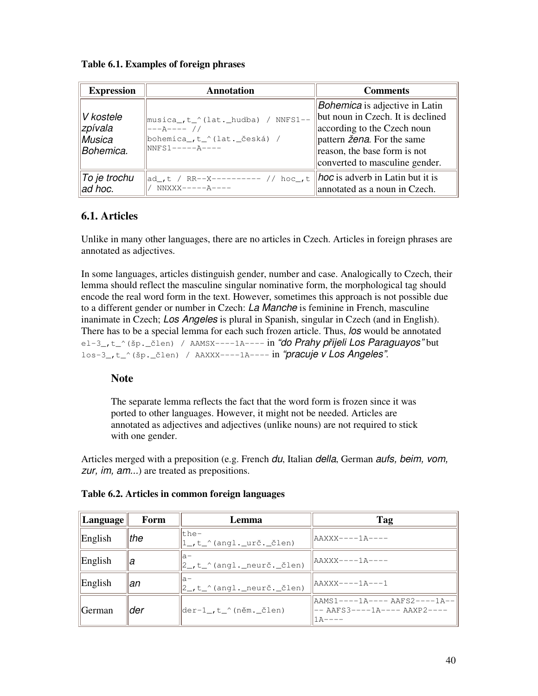**Table 6.1. Examples of foreign phrases**

| <b>Expression</b>                            | <b>Annotation</b>                                                                                          | <b>Comments</b>                                                                                                                                                                                                               |
|----------------------------------------------|------------------------------------------------------------------------------------------------------------|-------------------------------------------------------------------------------------------------------------------------------------------------------------------------------------------------------------------------------|
| V kostele<br>∥zpívala<br>Musica<br>Bohemica. | musica_,t_^(lat._hudba) / NNFS1--<br>$ ---\lambda---/$ //<br>bohemica ,t_^(lat._česká) /<br>$NNFS1---A---$ | <i>Bohemica</i> is adjective in Latin<br>but noun in Czech. It is declined<br>according to the Czech noun<br>$\parallel$ pattern <i>žena</i> . For the same<br>reason, the base form is not<br>converted to masculine gender. |
| ∥To je trochu<br>ad hoc.                     | ad_,t / RR--X---------- // hoc_,t<br>$NNXXX----A---$                                                       | $\parallel$ <i>hoc</i> is adverb in Latin but it is<br>annotated as a noun in Czech.                                                                                                                                          |

# **6.1. Articles**

Unlike in many other languages, there are no articles in Czech. Articles in foreign phrases are annotated as adjectives.

In some languages, articles distinguish gender, number and case. Analogically to Czech, their lemma should reflect the masculine singular nominative form, the morphological tag should encode the real word form in the text. However, sometimes this approach is not possible due to a different gender or number in Czech: *La Manche* is feminine in French, masculine inanimate in Czech; *Los Angeles* is plural in Spanish, singular in Czech (and in English). There has to be a special lemma for each such frozen article. Thus, *los* would be annotated el-3\_,t\_^(šp.\_len) / AAMSX----1A---- in *"do Prahy p*-*ijeli Los Paraguayos"* but los-3\_,t\_^(šp.\_len) / AAXXX----1A---- in *"pracuje v Los Angeles"*.

# **Note**

The separate lemma reflects the fact that the word form is frozen since it was ported to other languages. However, it might not be needed. Articles are annotated as adjectives and adjectives (unlike nouns) are not required to stick with one gender.

Articles merged with a preposition (e.g. French *du*, Italian *della*, German *aufs, beim, vom, zur, im, am...*) are treated as prepositions.

| Language           | Form | <b>Lemma</b>                                                             | Tag                                                                             |
|--------------------|------|--------------------------------------------------------------------------|---------------------------------------------------------------------------------|
| English            | the  | lthe-<br>$ 1_{-}$ , t $_{\cdot}$ (angl. $_{\cdot}$ urč. $_{\cdot}$ člen) | $\texttt{IAAXXX}\texttt{---1}\texttt{A}\texttt{---}$                            |
| English            | la   | la-<br>$ 2_t, t^{\prime\prime}$ (angl. neurč. $\check{c}$ len)           | AAXXX----1A----                                                                 |
| English            | lan  | la-<br>$ 2_t, t^{\prime\prime}$ (angl. neurč. $\check{c}$ len)           | aaxxx----1a---1                                                                 |
| $\parallel$ German | lder | der-1 ,t ^(něm. člen)                                                    | AAMS1----1A---- AAFS2----1A--<br> -- AAFS3----1A---- AAXP2----<br>I 1 A – – – – |

### **Table 6.2. Articles in common foreign languages**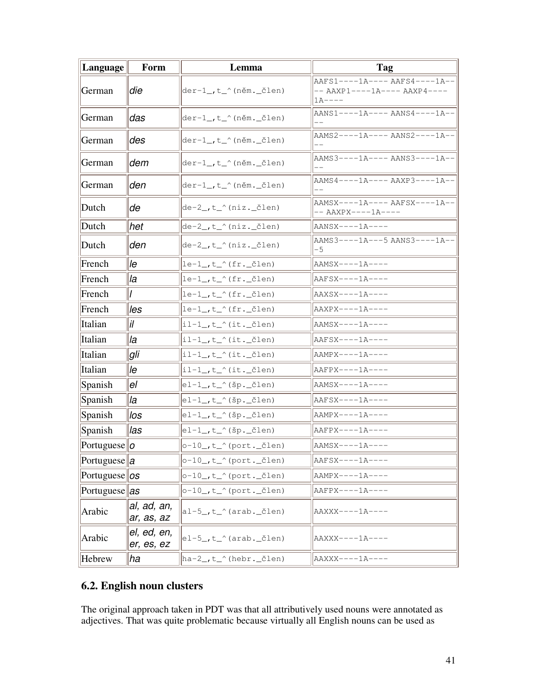| <b>Language</b>        | Form                      | Lemma                                             | Tag                                                                      |
|------------------------|---------------------------|---------------------------------------------------|--------------------------------------------------------------------------|
| German                 | ldie                      | $der-1$ , t_^(něm._člen)                          | AAFS1----1A---- AAFS4----1A--<br>$--- AAXP1---1A--- AAXP4---$<br>$1A---$ |
| German                 | das                       | $der-1$ , t_^(něm._člen)                          | AANS1----1A---- AANS4----1A--                                            |
| German                 | des                       | $der-1$ , t_^(něm. člen)                          | AAMS2----1A---- AANS2----1A--                                            |
| German                 | dem                       | $der-1$ , t_^(něm._člen)                          | AAMS3----1A---- AANS3----1A--                                            |
| German                 | lden.                     | der-1_,t_^(něm._člen)                             | AAMS4----1A---- AAXP3----1A--                                            |
| Dutch                  | lde                       | $\det^{-2}$ , t_^(niz._člen)                      | AAMSX----1A---- AAFSX----1A-- <br>-- AAXPX----1A----                     |
| Dutch                  | het                       | de-2_,t_^(niz._člen)                              | AANSX----1A----                                                          |
| Dutch                  | lden.                     | $\text{de-2}, \text{t}$ (niz._člen)               | aams3----1a---5 aans3----1a-- <br>-5                                     |
| French                 | lle                       | $\left \text{le-1}\right $ , t_^(fr._člen)        | $AAMSX---1A---$                                                          |
| French                 | lla                       | $\left \text{le-1}\right\rangle$ , t_^ (fr._člen) | $AAFSX---1A---$                                                          |
| French                 |                           | $\left \text{le-1}\right $ , t_^(fr._člen)        | AAXSX----1A----                                                          |
| French                 | lles                      | $\left \text{le-1}\right $ , t_^(fr._člen)        | $AAXPX---1A---$                                                          |
| Italian                | İl                        | $ i1-1$ , t_^(it._člen)                           | AAMSX----1A----                                                          |
| Italian                | lla                       | $ i1-1$ _,t_^(it._člen)                           | AAFSX----1A----                                                          |
| Italian                | gli                       | il-1_,t_^(it._člen)                               | $AAMPX---1A---$                                                          |
| Italian                | lle                       | $ i1-1$ _,t_^(it._člen)                           | AAFPX----1A----                                                          |
| Spanish                | lel                       | $ e1-1$ , t_^(šp._člen)                           | AAMSX----1A----                                                          |
| Spanish                | lla                       | $ e1-1$ , t_^(šp._člen)                           | AAFSX----1A----                                                          |
| Spanish                | llos                      | $ e1-1$ , t_^(šp._člen)                           | AAMPX----1A----                                                          |
| Spanish                | llas                      | $ e1-1$ , t_^(šp._člen)                           | $AAFPX---1A---$                                                          |
| $\text{Portuguese}  o$ |                           | $o-10$ , t_^(port. člen)                          | AAMSX----1A----                                                          |
| Portuguese   $a$       |                           | $o-10$ , t_^(port._člen)                          | AAFSX----1A----                                                          |
| Portuguese $ os$       |                           | $ o-10$ , t_^(port._člen)                         | $AAMPX---1A---$                                                          |
| Portuguese $\vert as$  |                           | $ o-10$ , t_^(port._člen)                         | AAFPX----1A----                                                          |
| Arabic                 | al, ad, an,<br>ar, as, az | $ al-5_{-},t_{-} \rangle$ (arab. _člen)           | AAXXX----1A----                                                          |
| Arabic                 | el, ed, en,<br>er, es, ez | $el-5$ , t_^(arab._člen)                          | AAXXX----1A----                                                          |
| Hebrew                 | ha                        | ha-2_,t_^(hebr._člen)                             | AAXXX----1A----                                                          |

# **6.2. English noun clusters**

The original approach taken in PDT was that all attributively used nouns were annotated as adjectives. That was quite problematic because virtually all English nouns can be used as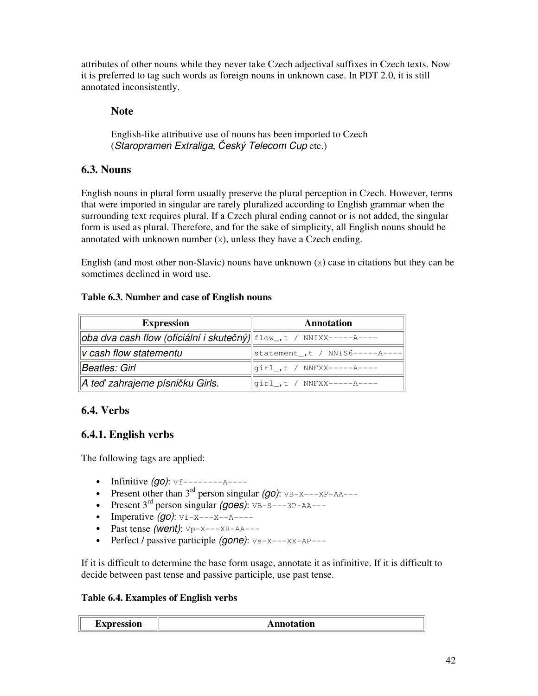attributes of other nouns while they never take Czech adjectival suffixes in Czech texts. Now it is preferred to tag such words as foreign nouns in unknown case. In PDT 2.0, it is still annotated inconsistently.

## **Note**

English-like attributive use of nouns has been imported to Czech (*Staropramen Extraliga*, *eský Telecom Cup* etc.)

# **6.3. Nouns**

English nouns in plural form usually preserve the plural perception in Czech. However, terms that were imported in singular are rarely pluralized according to English grammar when the surrounding text requires plural. If a Czech plural ending cannot or is not added, the singular form is used as plural. Therefore, and for the sake of simplicity, all English nouns should be annotated with unknown number  $(x)$ , unless they have a Czech ending.

English (and most other non-Slavic) nouns have unknown  $(x)$  case in citations but they can be sometimes declined in word use.

### **Table 6.3. Number and case of English nouns**

| <b>Expression</b>                                                                | Annotation                        |
|----------------------------------------------------------------------------------|-----------------------------------|
| $\ \text{oba dva cash flow (oficiální i skutečný)}\ $ flow_, t / NNIXX-----A---- |                                   |
| $\ $ v cash flow statementu                                                      | statement_, t / NNIS6-----A----   |
| Beatles: Girl                                                                    | $\ qirl_-,t \; / \; NNFXX---A---$ |
| A teď zahrajeme písničku Girls.                                                  | girl_,t / NNFXX-----A----         |

# **6.4. Verbs**

# **6.4.1. English verbs**

The following tags are applied:

- Infinitive *(go)*: Vf--------A----
- Present other than  $3^{rd}$  person singular *(go)*:  $VB-X---XP-AA---$
- Present  $3^{rd}$  person singular *(goes)*:  $VB-S---3P-AA---$
- Imperative *(go)*: Vi-X---X--A----
- Past tense *(went)*: Vp-X---XR-AA---
- Perfect / passive participle *(gone)*:  $v_s x x_x AP -Z$

If it is difficult to determine the base form usage, annotate it as infinitive. If it is difficult to decide between past tense and passive participle, use past tense.

### **Table 6.4. Examples of English verbs**

| <b>EXPLESSION</b><br>.v.<br>- | $A^{\text{nn}c}$<br>tation |  |
|-------------------------------|----------------------------|--|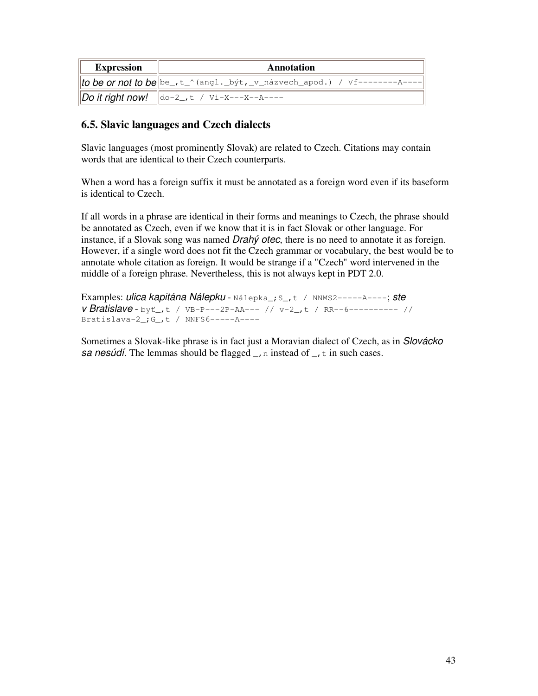| <b>Expression</b> | Annotation                                                                                |
|-------------------|-------------------------------------------------------------------------------------------|
|                   | <i>to be or not to be</i> $\left\ be_-,t_-'$ (angl._být,_v_názvech_apod.) / Vf---------A- |
|                   | <b>Do it right now!</b> $\ \text{do-2}, t \neq \text{Vi-X---X---A---$                     |

## **6.5. Slavic languages and Czech dialects**

Slavic languages (most prominently Slovak) are related to Czech. Citations may contain words that are identical to their Czech counterparts.

When a word has a foreign suffix it must be annotated as a foreign word even if its baseform is identical to Czech.

If all words in a phrase are identical in their forms and meanings to Czech, the phrase should be annotated as Czech, even if we know that it is in fact Slovak or other language. For instance, if a Slovak song was named *Drahý otec*, there is no need to annotate it as foreign. However, if a single word does not fit the Czech grammar or vocabulary, the best would be to annotate whole citation as foreign. It would be strange if a "Czech" word intervened in the middle of a foreign phrase. Nevertheless, this is not always kept in PDT 2.0.

Examples: *ulica kapitána Nálepku* - Nálepka\_;S\_,t / NNMS2-----A----; *ste v Bratislave* - byt<sub>r</sub>,t / VB-P---2P-AA--- // v-2<sub>-</sub>,t / RR--6---------- // Bratislava-2 $\cdot$ ; G<sub>-</sub>, t / NNFS6------A----

Sometimes a Slovak-like phrase is in fact just a Moravian dialect of Czech, as in *Slovácko sa nesúdí*. The lemmas should be flagged  $\Box$ , n instead of  $\Box$ , t in such cases.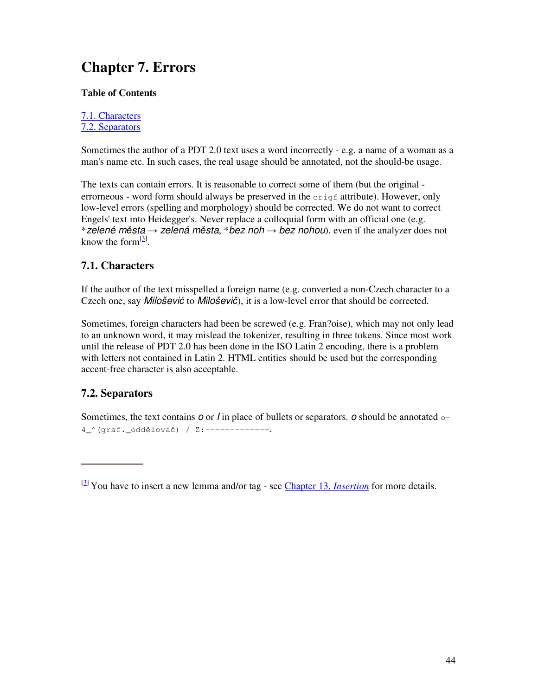# **Chapter 7. Errors**

### **Table of Contents**

7.1. Characters 7.2. Separators

Sometimes the author of a PDT 2.0 text uses a word incorrectly - e.g. a name of a woman as a man's name etc. In such cases, the real usage should be annotated, not the should-be usage.

The texts can contain errors. It is reasonable to correct some of them (but the original errorneous - word form should always be preserved in the origf attribute). However, only low-level errors (spelling and morphology) should be corrected. We do not want to correct Engels' text into Heidegger's. Never replace a colloquial form with an official one (e.g. \**zelené msta zelená msta*, \**bez noh bez nohou*), even if the analyzer does not know the form $^{[3]}$ .

# **7.1. Characters**

If the author of the text misspelled a foreign name (e.g. converted a non-Czech character to a Czech one, say *Milošević* to *Miloševič*), it is a low-level error that should be corrected.

Sometimes, foreign characters had been be screwed (e.g. Fran?oise), which may not only lead to an unknown word, it may mislead the tokenizer, resulting in three tokens. Since most work until the release of PDT 2.0 has been done in the ISO Latin 2 encoding, there is a problem with letters not contained in Latin 2. HTML entities should be used but the corresponding accent-free character is also acceptable.

# **7.2. Separators**

Sometimes, the text contains *o* or *I* in place of bullets or separators. *o* should be annotated o-4<sup>^</sup>(graf.<sup>oddělovač) / Z:-------------</sup>

<sup>[3]</sup> You have to insert a new lemma and/or tag - see Chapter 13, *Insertion* for more details.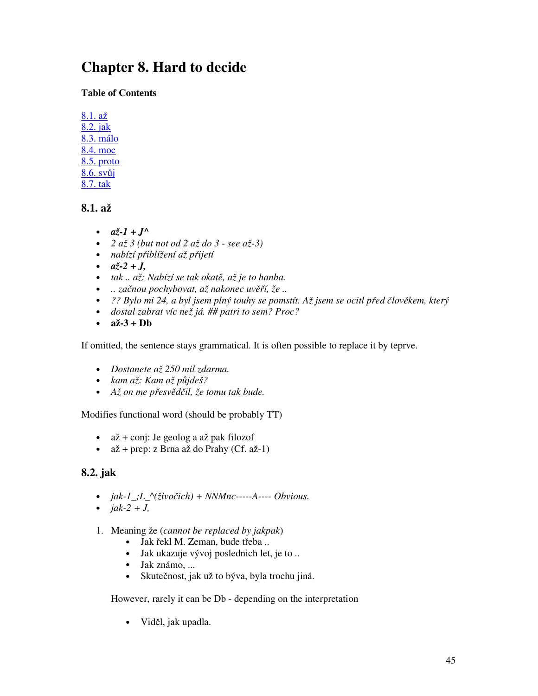# **Chapter 8. Hard to decide**

## **Table of Contents**

8.1. až 8.2. jak 8.3. málo 8.4. moc 8.5. proto 8.6. svůj 8.7. tak

# **8.1. až**

- $a\check{z}$ -1 +  $J^{\wedge}$
- *2 až 3 (but not od 2 až do 3 - see až-3)*
- *nabízí p*-*iblížení až p*-*ijetí*
- $a\check{z}$ -2 + *J*,
- *tak .. až: Nabízí se tak okat, až je to hanba.*
- *.. zanou pochybovat, až nakonec uv*-*í, že ..*
- · ?? Bylo mi 24, a byl jsem plný touhy se pomstít. Až jsem se ocitl před člověkem, který
- *dostal zabrat víc než já. ## patri to sem? Proc?*
- **až-3 + Db**

If omitted, the sentence stays grammatical. It is often possible to replace it by teprve.

- *Dostanete až 250 mil zdarma.*
- *kam až: Kam až pjdeš?*
- *Až on me p*-*esvdil, že tomu tak bude.*

Modifies functional word (should be probably TT)

- až + conj: Je geolog a až pak filozof
- $a\check{z}$  + prep: z Brna až do Prahy (Cf. až-1)

# **8.2. jak**

- *jak-1\_;L\_^(živoich) + NNMnc-----A---- Obvious.*
- $jak-2 + J$ ,
- 1. Meaning že (*cannot be replaced by jakpak*)
	- · Jak řekl M. Zeman, bude třeba...
	- Jak ukazuje vývoj poslednich let, je to ..
	- Jak známo, ...
	- Skutečnost, jak už to býva, byla trochu jiná.

However, rarely it can be Db - depending on the interpretation

• Viděl, jak upadla.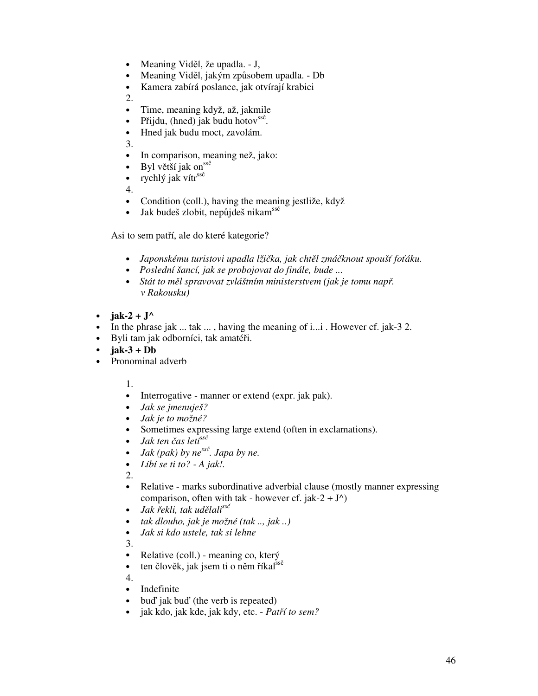- Meaning Viděl, že upadla. J,
- Meaning Viděl, jakým způsobem upadla. Db
- Kamera zabírá poslance, jak otvírají krabici
- 2.
- Time, meaning když, až, jakmile
- Přijdu, (hned) jak budu hotov $^{ss\zeta}$ .
- Hned jak budu moct, zavolám.

3.

- In comparison, meaning než, jako:
- Byl větší jak on ssě
- rychlý jak vítr<sup>ssě</sup>

4.

- Condition (coll.), having the meaning jestliže, když
- · Jak budeš zlobit, nepůjdeš nikam<sup>ssě</sup>

Asi to sem patří, ale do které kategorie?

- *Japonskému turistovi upadla lžika, jak chtl zmáknout spouš foáku.*
- *Poslední šancí, jak se probojovat do finále, bude ...*
- *Stát to měl spravovat zvláštním ministerstvem (jak je tomu např. v Rakousku)*
- **jak-2** +  $J^{\wedge}$
- In the phrase jak ... tak ... , having the meaning of i...i . However cf. jak-3 2.
- · Byli tam jak odborníci, tak amatéři.
- $\cdot$  **jak-3** + **Db**
- Pronominal adverb

1.

- Interrogative manner or extend (expr. jak pak).
- *Jak se jmenuješ?*
- *Jak je to možné?*
- Sometimes expressing large extend (often in exclamations).
- *Jak ten čas leti<sup>ssč</sup>*
- *Jak (pak) by ne ss . Japa by ne.*
- *Líbí se ti to? - A jak!.*

2.

- Relative marks subordinative adverbial clause (mostly manner expressing comparison, often with tak - however cf. jak-2 +  $J^{\wedge}$ )
- *Jak řekli, tak udělali<sup>ssč</sup>*
- *tak dlouho, jak je možné (tak .., jak ..)*
- *Jak si kdo ustele, tak si lehne*

3.

- Relative (coll.) meaning co, který
- ten člověk, jak jsem ti o něm říkal<sup>ssě</sup>

4.

- Indefinite
- bud' jak bud' (the verb is repeated)
- jak kdo, jak kde, jak kdy, etc. *Patí to sem?*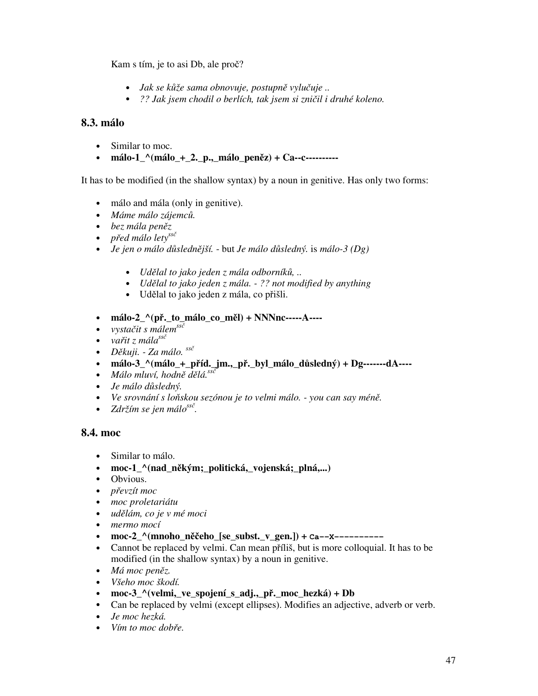Kam s tím, je to asi Db, ale proč?

- *Jak se kůže sama obnovuje, postupně vylučuje ..*
- *?? Jak jsem chodil o berlích, tak jsem si zniil i druhé koleno.*

### **8.3. málo**

- Similar to moc.
- málo-1\_^(málo\_+\_2.\_p.,\_málo\_peněz) + Ca--c----------

It has to be modified (in the shallow syntax) by a noun in genitive. Has only two forms:

- málo and mála (only in genitive).
- *Máme málo zájemc.*
- *bez mála penz*
- *před málo lety*<sup>ssč</sup>
- *Je jen o málo dslednjší.* but *Je málo dsledný.* is *málo-3 (Dg)*
	- *Udlal to jako jeden z mála odborník, ..*
	- *Udlal to jako jeden z mála. - ?? not modified by anything*
	- · Udělal to jako jeden z mála, co přišli.
- málo-2<sup>'</sup>(př.\_to\_málo\_co\_měl) + NNNnc-----A-----
- *vystait s málem ss*
- *vařit z* mála<sup>ssč</sup>
- *Dkuji. - Za málo. ss*
- **málo-3\_^(málo\_+\_píd.\_jm.,\_p.\_byl\_málo\_dsledný) + Dg-------dA----**
- *Málo mluví, hodně dělá.*<sup>ssč</sup>
- *Je málo dsledný.*
- *Ve srovnání s loskou sezónou je to velmi málo. - you can say mén.*
- *Zdržím se jen málo ss .*

### **8.4. moc**

- Similar to málo.
- moc-1\_^(nad\_někým;\_politická,\_vojenská;\_plná,...)
- Obvious.
- *převzít moc*
- *moc proletariátu*
- *udlám, co je v mé moci*
- *mermo mocí*
- moc-2\_^(mnoho\_něčeho\_[se\_subst.\_v\_gen.]) + **Ca--X----------**
- Cannot be replaced by velmi. Can mean příliš, but is more colloquial. It has to be modified (in the shallow syntax) by a noun in genitive.
- *Má moc penz.*
- *Všeho moc škodí.*
- **moc-3\_^(velmi,\_ve\_spojení\_s\_adj.,\_p.\_moc\_hezká) + Db**
- Can be replaced by velmi (except ellipses). Modifies an adjective, adverb or verb.
- *Je moc hezká.*
- *Vím* to moc dobře.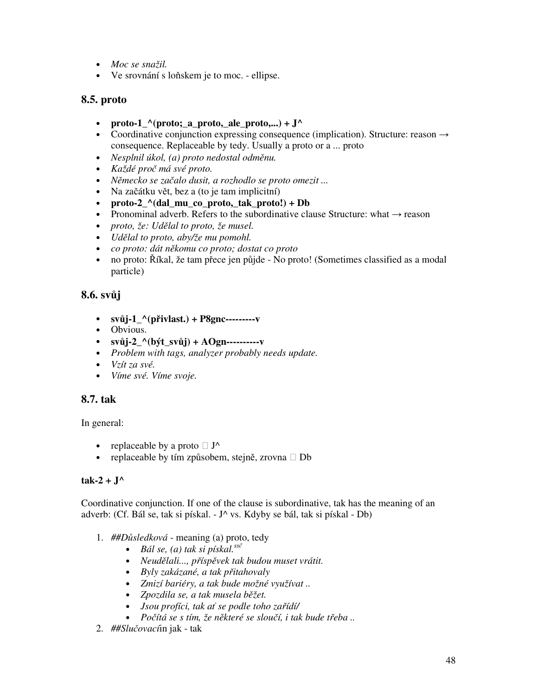- *Moc se snažil.*
- Ve srovnání s lo skem je to moc. ellipse.

### **8.5. proto**

- **proto-1**  $\Lambda$ (proto; a proto, ale proto,...) +  $J^{\Lambda}$
- Coordinative conjunction expressing consequence (implication). Structure: reason  $\rightarrow$ consequence. Replaceable by tedy. Usually a proto or a ... proto
- *Nesplnil úkol, (a) proto nedostal odměnu.*
- *Každé pro má své proto.*
- *Nmecko se zaalo dusit, a rozhodlo se proto omezit ...*
- Na začátku vět, bez a (to je tam implicitní)
- **proto-2\_^(dal\_mu\_co\_proto,\_tak\_proto!) + Db**
- Pronominal adverb. Refers to the subordinative clause Structure: what  $\rightarrow$  reason
- *proto, že: Udlal to proto, že musel.*
- *Udlal to proto, aby/že mu pomohl.*
- *co proto: dát nkomu co proto; dostat co proto*
- · no proto: Říkal, že tam přece jen půjde No proto! (Sometimes classified as a modal particle)

## **8.6. svj**

- **svj-1\_^(pivlast.) + P8gnc---------v**
- Obvious.
- **svj-2\_^(být\_svj) + AOgn----------v**
- *Problem with tags, analyzer probably needs update.*
- *Vzít za své.*
- *Víme své. Víme svoje.*

### **8.7. tak**

In general:

- replaceable by a proto  $J^{\wedge}$
- replaceable by tím způsobem, stejně, zrovna Db

### $tak-2 + J^{\wedge}$

Coordinative conjunction. If one of the clause is subordinative, tak has the meaning of an adverb: (Cf. Bál se, tak si pískal. - J^ vs. Kdyby se bál, tak si pískal - Db)

- 1. ##Důsledková meaning (a) proto, tedy
	- *Bál se, (a) tak si pískal. ss*
	- *Neudlali..., p*-*íspvek tak budou muset vrátit.*
	- *Byly zakázané, a tak p*-*itahovaly*
	- *Zmizí bariéry, a tak bude možné využívat ..*
	- *Zpozdila se, a tak musela bžet.*
	- *Jsou profíci, tak a se podle toho za*-*ídí/*
	- *Poítá se s tím, že nkteré se slouí, i tak bude t*-*eba ..*
- 2. *##Sluovací*in jak tak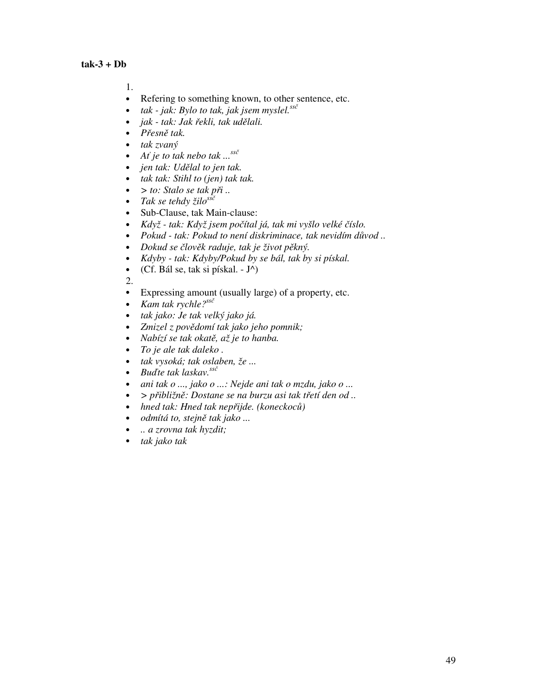1.

- Refering to something known, to other sentence, etc.
- *tak - jak: Bylo to tak, jak jsem myslel. ss*
- *jak - tak: Jak* -*ekli, tak udlali.*
- *Přesně tak.*
- *tak zvaný*
- $A^f$  *je to tak nebo tak*  $\ldots$ <sup>ss $\check{c}$ </sup>
- *jen tak: Udlal to jen tak.*
- *tak tak: Stihl to (jen) tak tak.*
- $>$  *to: Stalo se tak*  $p\ddot{n}$  *..*
- *Tak se tehdy žilo ss*
- Sub-Clause, tak Main-clause:
- *Když - tak: Když jsem poítal já, tak mi vyšlo velké íslo.*
- *Pokud - tak: Pokud to není diskriminace, tak nevidím dvod ..*
- *Dokud se lovk raduje, tak je život pkný.*
- *Kdyby - tak: Kdyby/Pokud by se bál, tak by si pískal.*
- (Cf. Bál se, tak si pískal.  $-J^{\wedge})$

2.

- Expressing amount (usually large) of a property, etc.
- *Kam tak rychle? ss*
- *tak jako: Je tak velký jako já.*
- *Zmizel z povdomí tak jako jeho pomnik;*
- *Nabízí se tak okat, až je to hanba.*
- *To je ale tak daleko .*
- *tak vysoká; tak oslaben, že ...*
- *Bute tak laskav. ss*
- *ani tak o ..., jako o ...: Nejde ani tak o mzdu, jako o ...*
- *> p*-*ibližn: Dostane se na burzu asi tak t*-*etí den od ..*
- *hned tak: Hned tak nep*-*ijde. (koneckoc)*
- *odmítá to, stejně tak jako* ...
- *.. a zrovna tak hyzdit;*
- *tak jako tak*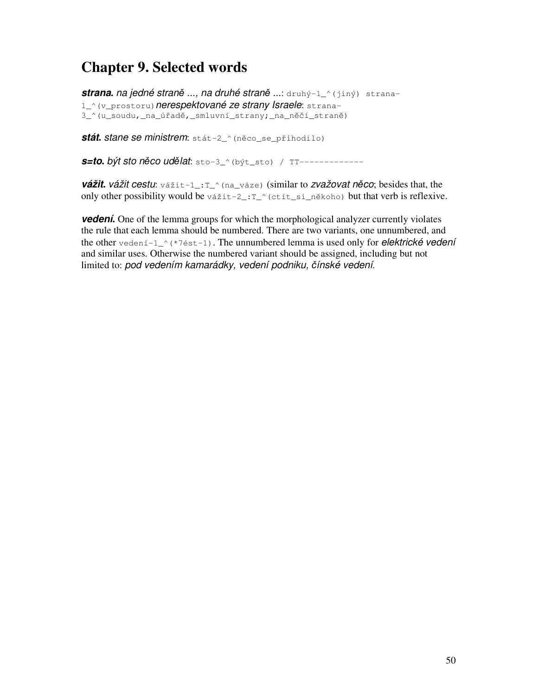# **Chapter 9. Selected words**

**strana.** na jedné straně ..., na druhé straně ...: druhý-1\_^(jiný) strana-1\_^(v\_prostoru)*nerespektované ze strany Israele*: strana-3\_^(u\_soudu,\_na\_úřadě,\_smluvní\_strany;\_na\_něčí\_straně)

*stát. stane se ministrem***:** stát-2\_^(něco\_se\_přihodilo)

*s=to***.** *být sto nco udlat*: sto-3\_^(být\_sto) / TT-------------

*vážit***.** *vážit cestu*: vážit-1\_:T\_^(na\_váze) (similar to *zvažovat nco*; besides that, the only other possibility would be vážit-2\_: $T_{\cdot}$  (ctít\_si\_někoho) but that verb is reflexive.

*vedení***.** One of the lemma groups for which the morphological analyzer currently violates the rule that each lemma should be numbered. There are two variants, one unnumbered, and the other vedení-1\_^(\*7ést-1). The unnumbered lemma is used only for *elektrické vedení* and similar uses. Otherwise the numbered variant should be assigned, including but not limited to: *pod vedením kamarádky, vedení podniku, ínské vedení*.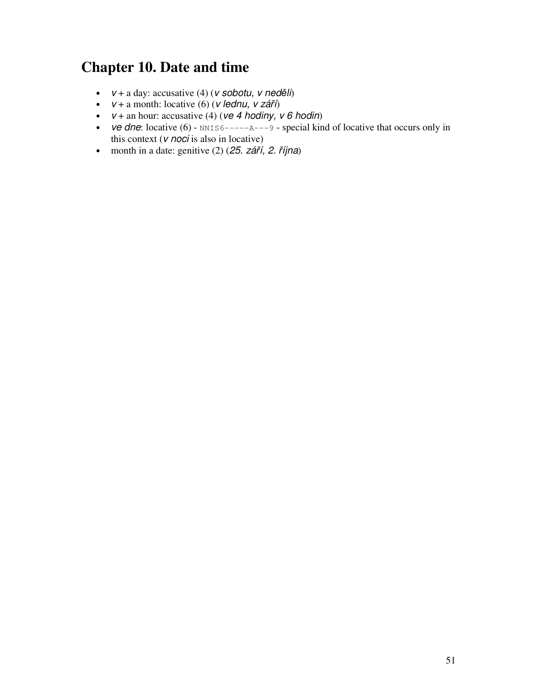# **Chapter 10. Date and time**

- $v + a \, \text{day:}$  accusative (4) ( $v \, \text{sobotu}, \, v \, \text{neq}$ *děli*)
- $v + a$  month: locative (6) (*v lednu*, *v září*)
- $v +$  an hour: accusative (4) ( $ve$  4 *hodiny*,  $v$  6 *hodin*)
- *ve dne*: locative  $(6)$   $NNIS6---A---A$  9 special kind of locative that occurs only in this context (*v noci* is also in locative)
- month in a date: genitive  $(2)$   $(25. září, 2. října)$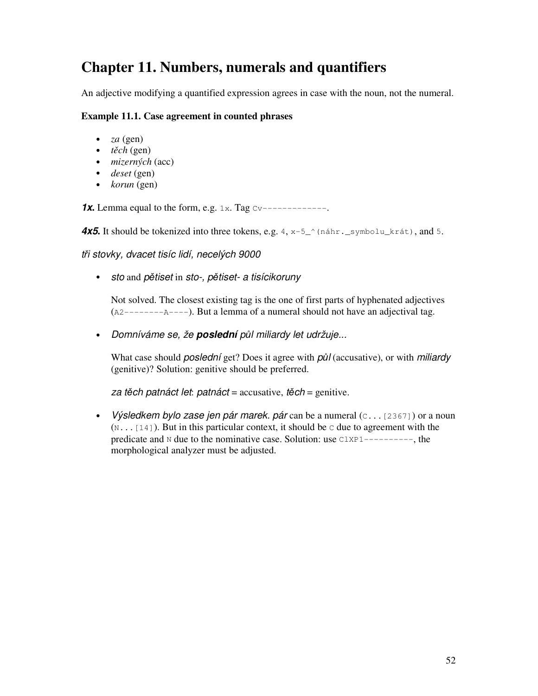# **Chapter 11. Numbers, numerals and quantifiers**

An adjective modifying a quantified expression agrees in case with the noun, not the numeral.

#### **Example 11.1. Case agreement in counted phrases**

- *za* (gen)
- $\cdot$  *těch* (gen)
- *mizerných* (acc)
- *deset* (gen)
- *korun* (gen)

**1x.** Lemma equal to the form, e.g.  $1x$ . Tag  $Cv$ -------------

4x5. It should be tokenized into three tokens, e.g. 4, x-5<sup>o</sup> (náhr. \_symbolu\_krát), and 5.

*t*-*i stovky, dvacet tisíc lidí, necelých 9000*

• *sto* and *ptiset* in *sto-, ptiset- a tisícikoruny*

Not solved. The closest existing tag is the one of first parts of hyphenated adjectives (A2--------A----). But a lemma of a numeral should not have an adjectival tag.

• *Domníváme se, že poslední pl miliardy let udržuje...*

What case should *poslední* get? Does it agree with *pl* (accusative), or with *miliardy* (genitive)? Solution: genitive should be preferred.

*za tch patnáct let*: *patnáct* = accusative, *tch* = genitive.

• *Výsledkem bylo zase jen pár marek. pár* can be a numeral (C...[2367]) or a noun  $(N_{\text{max}}[14])$ . But in this particular context, it should be c due to agreement with the predicate and N due to the nominative case. Solution: use ClXP1----------, the morphological analyzer must be adjusted.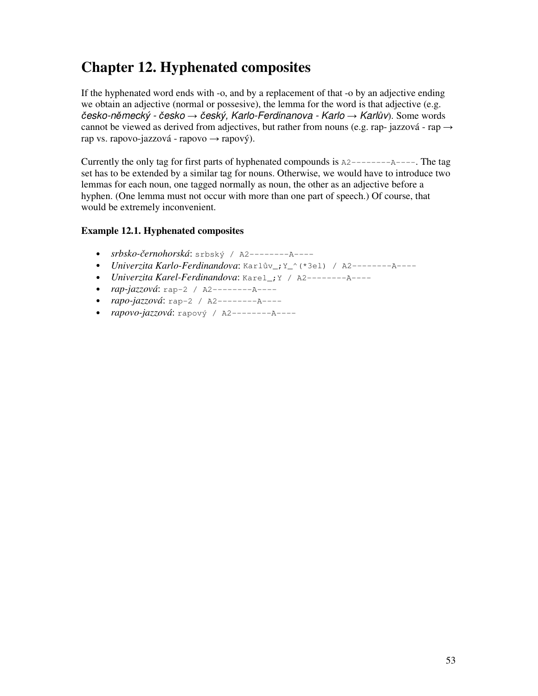# **Chapter 12. Hyphenated composites**

If the hyphenated word ends with -o, and by a replacement of that -o by an adjective ending we obtain an adjective (normal or possesive), the lemma for the word is that adjective (e.g. *esko-nmecký - esko eský, Karlo-Ferdinanova - Karlo Karlv*). Some words cannot be viewed as derived from adjectives, but rather from nouns (e.g. rap- jazzová - rap  $\rightarrow$ rap vs. rapovo-jazzová - rapovo  $\rightarrow$  rapový).

Currently the only tag for first parts of hyphenated compounds is  $A2$ ------- $A$ ----. The tag set has to be extended by a similar tag for nouns. Otherwise, we would have to introduce two lemmas for each noun, one tagged normally as noun, the other as an adjective before a hyphen. (One lemma must not occur with more than one part of speech.) Of course, that would be extremely inconvenient.

### **Example 12.1. Hyphenated composites**

- *srbsko-ernohorská*: srbský / A2--------A----
- Univerzita Karlo-Ferdinandova: Karlův\_; Y\_^(\*3el) / A2---------A----
- *Univerzita Karel-Ferdinandova*: Karel\_;Y / A2--------A----
- *rap-jazzová*: rap-2 / A2--------A----
- *rapo-jazzová*: rap-2 / A2--------A----
- *rapovo-jazzová*: rapový / A2--------A----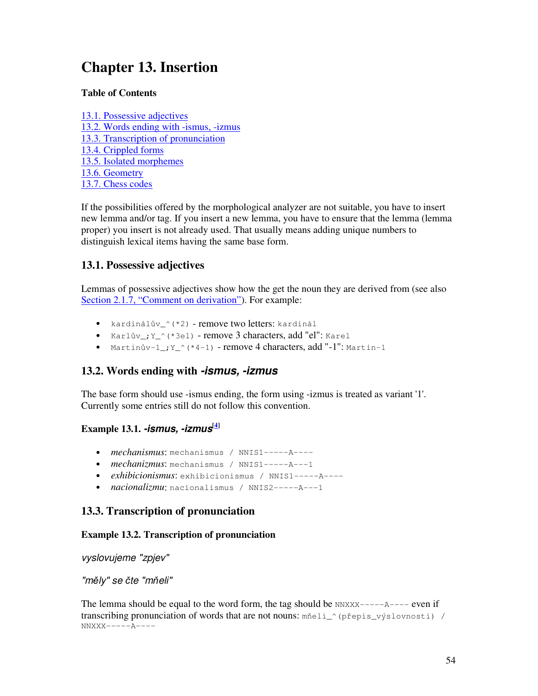# **Chapter 13. Insertion**

### **Table of Contents**

13.1. Possessive adjectives 13.2. Words ending with -ismus, -izmus 13.3. Transcription of pronunciation 13.4. Crippled forms 13.5. Isolated morphemes 13.6. Geometry 13.7. Chess codes

If the possibilities offered by the morphological analyzer are not suitable, you have to insert new lemma and/or tag. If you insert a new lemma, you have to ensure that the lemma (lemma proper) you insert is not already used. That usually means adding unique numbers to distinguish lexical items having the same base form.

### **13.1. Possessive adjectives**

Lemmas of possessive adjectives show how the get the noun they are derived from (see also Section 2.1.7, "Comment on derivation"). For example:

- kardinálův\_^(\*2) remove two letters: kardinál
- Karlův\_; Y\_^(\*3el) remove 3 characters, add "el": Karel
- Martinův- $1$ <sub>-</sub>; Y<sub>-</sub>^(\*4-1) remove 4 characters, add "-1": Martin-1

# **13.2. Words ending with** *-ismus, -izmus*

The base form should use -ismus ending, the form using -izmus is treated as variant '1'. Currently some entries still do not follow this convention.

## **Example 13.1.** *-ismus, -izmus* **[4]**

- *mechanismus*: mechanismus / NNIS1-----A----
- *mechanizmus*: mechanismus / NNIS1-----A---1
- *exhibicionismus*: exhibicionismus / NNIS1-----A----
- *nacionalizmu*: nacionalismus / NNIS2-----A---1

# **13.3. Transcription of pronunciation**

### **Example 13.2. Transcription of pronunciation**

*vyslovujeme "zpjev"*

### *"mly" se te "meli"*

The lemma should be equal to the word form, the tag should be  $NNXX---A---$  even if transcribing pronunciation of words that are not nouns: mnneli\_^(prepis\_výslovnosti) /  $NNXXX---A---A$